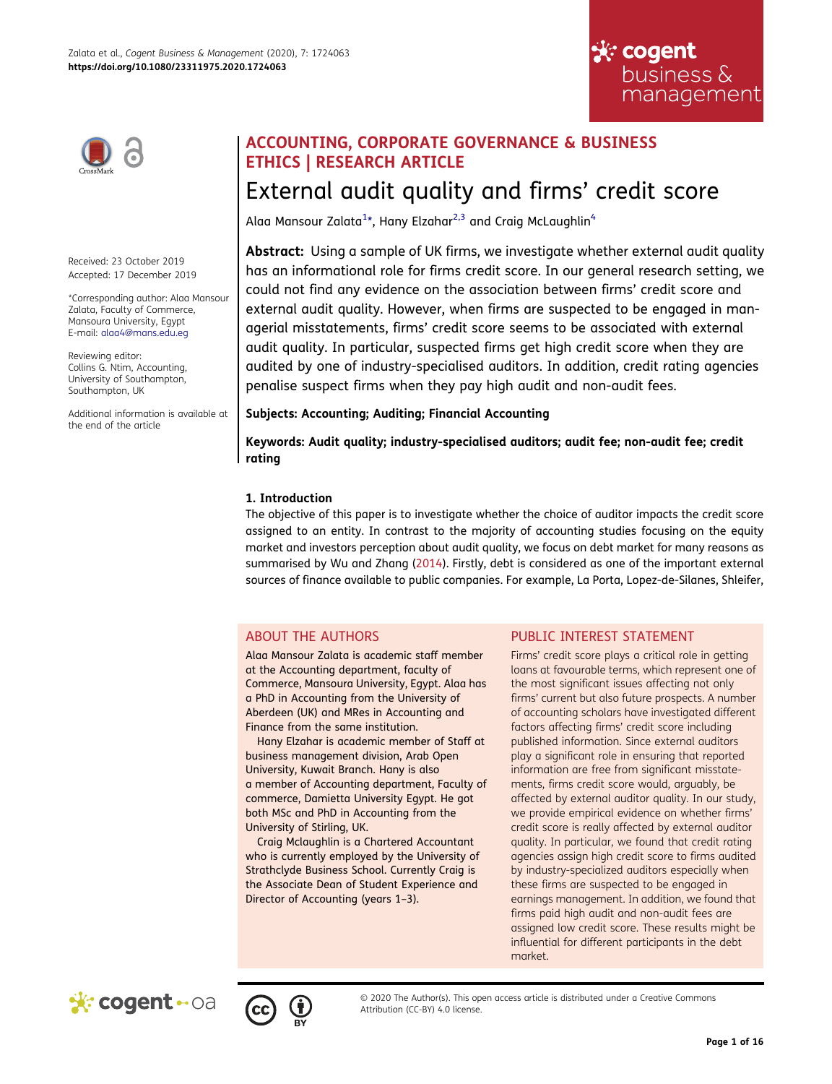

Received: 23 October 2019 Accepted: 17 December 2019

\*Corresponding author: Alaa Mansour Zalata, Faculty of Commerce, Mansoura University, Egypt E-mail: alaa4@mans.edu.eg

Reviewing editor: Collins G. Ntim, Accounting, University of Southampton, Southampton, UK

Additional information is available at the end of the article

# ACCOUNTING, CORPORATE GOVERNANCE & BUSINESS ETHICS | RESEARCH ARTICLE

# External audit quality and firms' credit score

<span id="page-0-0"></span>Alaa Mansour Zalata<sup>[1](#page-12-0)</sup>\*, Hany Elzahar<sup>[2,3](#page-12-1)</sup> and Craig McLaughlin<sup>[4](#page-12-2)</sup>

Abstract: Using a sample of UK firms, we investigate whether external audit quality has an informational role for firms credit score. In our general research setting, we could not find any evidence on the association between firms' credit score and external audit quality. However, when firms are suspected to be engaged in managerial misstatements, firms' credit score seems to be associated with external audit quality. In particular, suspected firms get high credit score when they are audited by one of industry-specialised auditors. In addition, credit rating agencies penalise suspect firms when they pay high audit and non-audit fees.

## Subjects: Accounting; Auditing; Financial Accounting

Keywords: Audit quality; industry-specialised auditors; audit fee; non-audit fee; credit rating

## 1. Introduction

<span id="page-0-1"></span>The objective of this paper is to investigate whether the choice of auditor impacts the credit score assigned to an entity. In contrast to the majority of accounting studies focusing on the equity market and investors perception about audit quality, we focus on debt market for many reasons as summarised by Wu and Zhang ([2014](#page-14-0)). Firstly, debt is considered as one of the important external sources of finance available to public companies. For example, La Porta, Lopez-de-Silanes, Shleifer,

# ABOUT THE AUTHORS

Alaa Mansour Zalata is academic staff member at the Accounting department, faculty of Commerce, Mansoura University, Egypt. Alaa has a PhD in Accounting from the University of Aberdeen (UK) and MRes in Accounting and Finance from the same institution.

Hany Elzahar is academic member of Staff at business management division, Arab Open University, Kuwait Branch. Hany is also a member of Accounting department, Faculty of commerce, Damietta University Egypt. He got both MSc and PhD in Accounting from the University of Stirling, UK.

Craig Mclaughlin is a Chartered Accountant who is currently employed by the University of Strathclyde Business School. Currently Craig is the Associate Dean of Student Experience and Director of Accounting (years 1–3).

# PUBLIC INTEREST STATEMENT

Firms' credit score plays a critical role in getting loans at favourable terms, which represent one of the most significant issues affecting not only firms' current but also future prospects. A number of accounting scholars have investigated different factors affecting firms' credit score including published information. Since external auditors play a significant role in ensuring that reported information are free from significant misstatements, firms credit score would, arguably, be affected by external auditor quality. In our study, we provide empirical evidence on whether firms' credit score is really affected by external auditor quality. In particular, we found that credit rating agencies assign high credit score to firms audited by industry-specialized auditors especially when these firms are suspected to be engaged in earnings management. In addition, we found that firms paid high audit and non-audit fees are assigned low credit score. These results might be influential for different participants in the debt market.

☆ cogent

business & management





© 2020 The Author(s). This open access article is distributed under a Creative Commons Attribution (CC-BY) 4.0 license.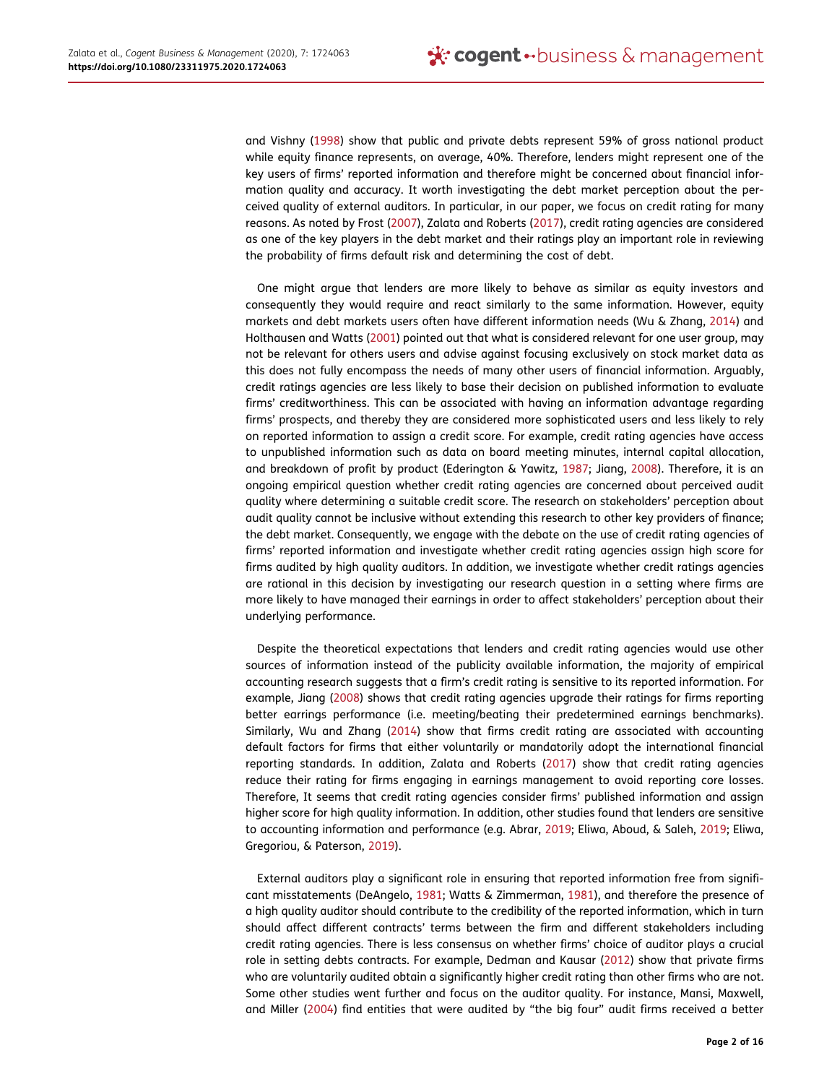<span id="page-1-8"></span>and Vishny ([1998](#page-14-1)) show that public and private debts represent 59% of gross national product while equity finance represents, on average, 40%. Therefore, lenders might represent one of the key users of firms' reported information and therefore might be concerned about financial information quality and accuracy. It worth investigating the debt market perception about the perceived quality of external auditors. In particular, in our paper, we focus on credit rating for many reasons. As noted by Frost [\(2007\)](#page-13-0), Zalata and Roberts ([2017](#page-15-0)), credit rating agencies are considered as one of the key players in the debt market and their ratings play an important role in reviewing the probability of firms default risk and determining the cost of debt.

<span id="page-1-6"></span><span id="page-1-5"></span><span id="page-1-3"></span>One might argue that lenders are more likely to behave as similar as equity investors and consequently they would require and react similarly to the same information. However, equity markets and debt markets users often have different information needs (Wu & Zhang, [2014](#page-14-0)) and Holthausen and Watts [\(2001](#page-14-2)) pointed out that what is considered relevant for one user group, may not be relevant for others users and advise against focusing exclusively on stock market data as this does not fully encompass the needs of many other users of financial information. Arguably, credit ratings agencies are less likely to base their decision on published information to evaluate firms' creditworthiness. This can be associated with having an information advantage regarding firms' prospects, and thereby they are considered more sophisticated users and less likely to rely on reported information to assign a credit score. For example, credit rating agencies have access to unpublished information such as data on board meeting minutes, internal capital allocation, and breakdown of profit by product (Ederington & Yawitz, [1987](#page-13-1); Jiang, [2008\)](#page-14-3). Therefore, it is an ongoing empirical question whether credit rating agencies are concerned about perceived audit quality where determining a suitable credit score. The research on stakeholders' perception about audit quality cannot be inclusive without extending this research to other key providers of finance; the debt market. Consequently, we engage with the debate on the use of credit rating agencies of firms' reported information and investigate whether credit rating agencies assign high score for firms audited by high quality auditors. In addition, we investigate whether credit ratings agencies are rational in this decision by investigating our research question in a setting where firms are more likely to have managed their earnings in order to affect stakeholders' perception about their underlying performance.

<span id="page-1-10"></span><span id="page-1-7"></span>Despite the theoretical expectations that lenders and credit rating agencies would use other sources of information instead of the publicity available information, the majority of empirical accounting research suggests that a firm's credit rating is sensitive to its reported information. For example, Jiang [\(2008\)](#page-14-3) shows that credit rating agencies upgrade their ratings for firms reporting better earrings performance (i.e. meeting/beating their predetermined earnings benchmarks). Similarly, Wu and Zhang [\(2014\)](#page-14-0) show that firms credit rating are associated with accounting default factors for firms that either voluntarily or mandatorily adopt the international financial reporting standards. In addition, Zalata and Roberts [\(2017](#page-15-0)) show that credit rating agencies reduce their rating for firms engaging in earnings management to avoid reporting core losses. Therefore, It seems that credit rating agencies consider firms' published information and assign higher score for high quality information. In addition, other studies found that lenders are sensitive to accounting information and performance (e.g. Abrar, [2019;](#page-13-2) Eliwa, Aboud, & Saleh, [2019](#page-13-3); Eliwa, Gregoriou, & Paterson, [2019](#page-13-4)).

<span id="page-1-9"></span><span id="page-1-4"></span><span id="page-1-2"></span><span id="page-1-1"></span><span id="page-1-0"></span>External auditors play a significant role in ensuring that reported information free from significant misstatements (DeAngelo, [1981](#page-13-5); Watts & Zimmerman, [1981](#page-14-4)), and therefore the presence of a high quality auditor should contribute to the credibility of the reported information, which in turn should affect different contracts' terms between the firm and different stakeholders including credit rating agencies. There is less consensus on whether firms' choice of auditor plays a crucial role in setting debts contracts. For example, Dedman and Kausar [\(2012\)](#page-13-6) show that private firms who are voluntarily audited obtain a significantly higher credit rating than other firms who are not. Some other studies went further and focus on the auditor quality. For instance, Mansi, Maxwell, and Miller [\(2004\)](#page-14-5) find entities that were audited by "the big four" audit firms received a better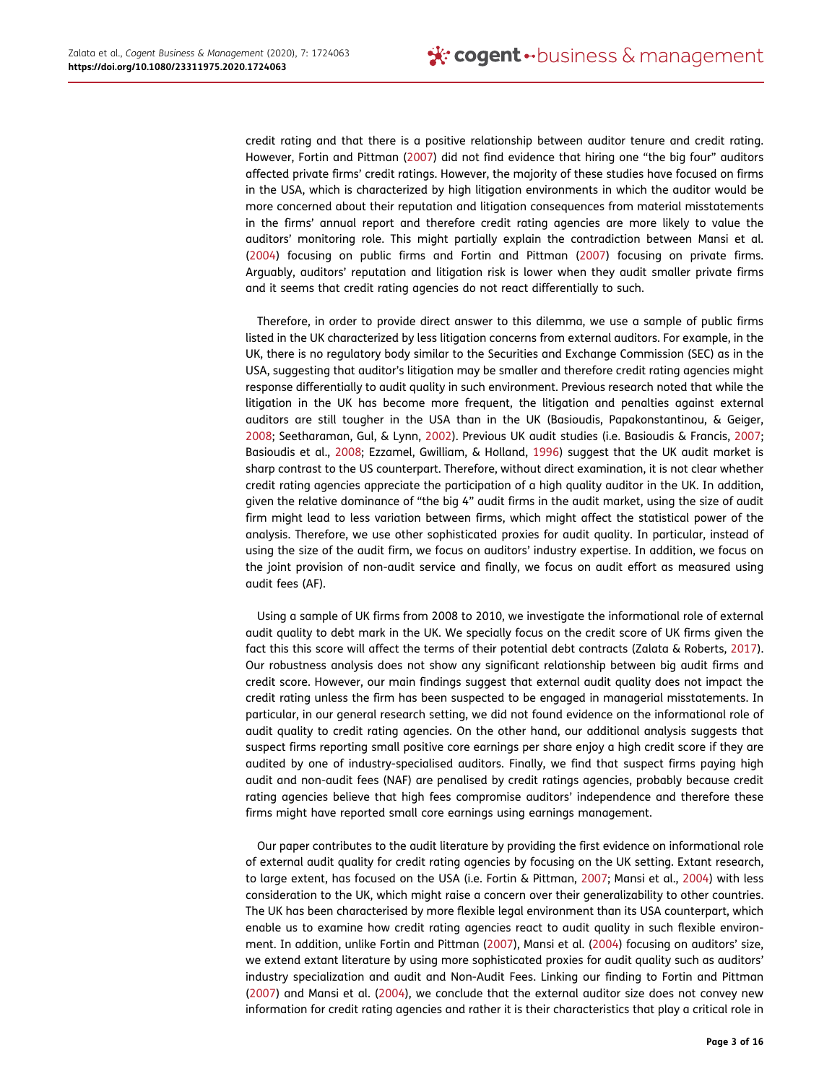credit rating and that there is a positive relationship between auditor tenure and credit rating. However, Fortin and Pittman [\(2007](#page-13-7)) did not find evidence that hiring one "the big four" auditors affected private firms' credit ratings. However, the majority of these studies have focused on firms in the USA, which is characterized by high litigation environments in which the auditor would be more concerned about their reputation and litigation consequences from material misstatements in the firms' annual report and therefore credit rating agencies are more likely to value the auditors' monitoring role. This might partially explain the contradiction between Mansi et al. ([2004](#page-14-5)) focusing on public firms and Fortin and Pittman ([2007\)](#page-13-7) focusing on private firms. Arguably, auditors' reputation and litigation risk is lower when they audit smaller private firms and it seems that credit rating agencies do not react differentially to such.

<span id="page-2-1"></span><span id="page-2-0"></span>Therefore, in order to provide direct answer to this dilemma, we use a sample of public firms listed in the UK characterized by less litigation concerns from external auditors. For example, in the UK, there is no regulatory body similar to the Securities and Exchange Commission (SEC) as in the USA, suggesting that auditor's litigation may be smaller and therefore credit rating agencies might response differentially to audit quality in such environment. Previous research noted that while the litigation in the UK has become more frequent, the litigation and penalties against external auditors are still tougher in the USA than in the UK (Basioudis, Papakonstantinou, & Geiger, [2008](#page-13-8); Seetharaman, Gul, & Lynn, [2002](#page-14-6)). Previous UK audit studies (i.e. Basioudis & Francis, [2007](#page-13-9); Basioudis et al., [2008;](#page-13-8) Ezzamel, Gwilliam, & Holland, [1996\)](#page-13-10) suggest that the UK audit market is sharp contrast to the US counterpart. Therefore, without direct examination, it is not clear whether credit rating agencies appreciate the participation of a high quality auditor in the UK. In addition, given the relative dominance of "the big 4" audit firms in the audit market, using the size of audit firm might lead to less variation between firms, which might affect the statistical power of the analysis. Therefore, we use other sophisticated proxies for audit quality. In particular, instead of using the size of the audit firm, we focus on auditors' industry expertise. In addition, we focus on the joint provision of non-audit service and finally, we focus on audit effort as measured using audit fees (AF).

Using a sample of UK firms from 2008 to 2010, we investigate the informational role of external audit quality to debt mark in the UK. We specially focus on the credit score of UK firms given the fact this this score will affect the terms of their potential debt contracts (Zalata & Roberts, [2017\)](#page-15-0). Our robustness analysis does not show any significant relationship between big audit firms and credit score. However, our main findings suggest that external audit quality does not impact the credit rating unless the firm has been suspected to be engaged in managerial misstatements. In particular, in our general research setting, we did not found evidence on the informational role of audit quality to credit rating agencies. On the other hand, our additional analysis suggests that suspect firms reporting small positive core earnings per share enjoy a high credit score if they are audited by one of industry-specialised auditors. Finally, we find that suspect firms paying high audit and non-audit fees (NAF) are penalised by credit ratings agencies, probably because credit rating agencies believe that high fees compromise auditors' independence and therefore these firms might have reported small core earnings using earnings management.

<span id="page-2-2"></span>Our paper contributes to the audit literature by providing the first evidence on informational role of external audit quality for credit rating agencies by focusing on the UK setting. Extant research, to large extent, has focused on the USA (i.e. Fortin & Pittman, [2007](#page-13-7); Mansi et al., [2004\)](#page-14-5) with less consideration to the UK, which might raise a concern over their generalizability to other countries. The UK has been characterised by more flexible legal environment than its USA counterpart, which enable us to examine how credit rating agencies react to audit quality in such flexible environment. In addition, unlike Fortin and Pittman ([2007](#page-13-7)), Mansi et al. ([2004](#page-14-5)) focusing on auditors' size, we extend extant literature by using more sophisticated proxies for audit quality such as auditors' industry specialization and audit and Non-Audit Fees. Linking our finding to Fortin and Pittman ([2007](#page-13-7)) and Mansi et al. [\(2004\)](#page-14-5), we conclude that the external auditor size does not convey new information for credit rating agencies and rather it is their characteristics that play a critical role in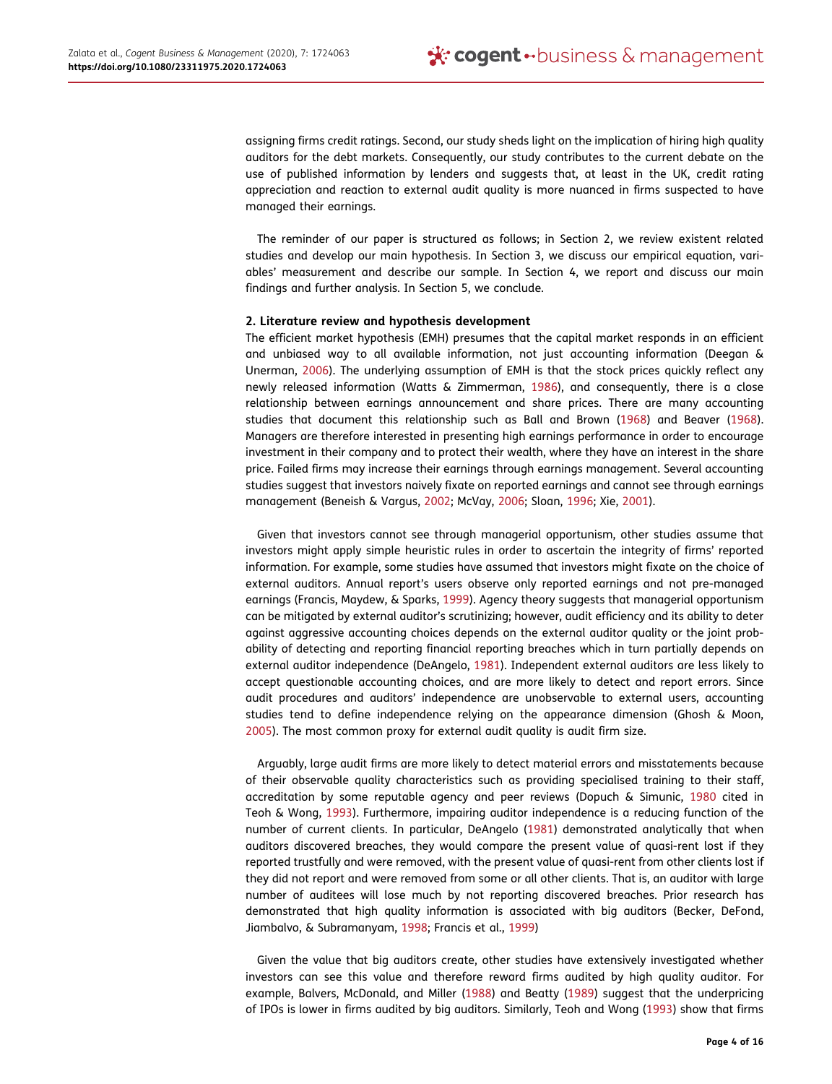assigning firms credit ratings. Second, our study sheds light on the implication of hiring high quality auditors for the debt markets. Consequently, our study contributes to the current debate on the use of published information by lenders and suggests that, at least in the UK, credit rating appreciation and reaction to external audit quality is more nuanced in firms suspected to have managed their earnings.

The reminder of our paper is structured as follows; in Section 2, we review existent related studies and develop our main hypothesis. In Section 3, we discuss our empirical equation, variables' measurement and describe our sample. In Section 4, we report and discuss our main findings and further analysis. In Section 5, we conclude.

#### 2. Literature review and hypothesis development

<span id="page-3-8"></span><span id="page-3-4"></span><span id="page-3-0"></span>The efficient market hypothesis (EMH) presumes that the capital market responds in an efficient and unbiased way to all available information, not just accounting information (Deegan & Unerman, [2006\)](#page-13-11). The underlying assumption of EMH is that the stock prices quickly reflect any newly released information (Watts & Zimmerman, [1986](#page-14-7)), and consequently, there is a close relationship between earnings announcement and share prices. There are many accounting studies that document this relationship such as Ball and Brown ([1968\)](#page-13-12) and Beaver [\(1968\)](#page-13-13). Managers are therefore interested in presenting high earnings performance in order to encourage investment in their company and to protect their wealth, where they have an interest in the share price. Failed firms may increase their earnings through earnings management. Several accounting studies suggest that investors naively fixate on reported earnings and cannot see through earnings management (Beneish & Vargus, [2002](#page-13-14); McVay, [2006](#page-14-8); Sloan, [1996;](#page-14-9) Xie, [2001](#page-14-10)).

<span id="page-3-3"></span>Given that investors cannot see through managerial opportunism, other studies assume that investors might apply simple heuristic rules in order to ascertain the integrity of firms' reported information. For example, some studies have assumed that investors might fixate on the choice of external auditors. Annual report's users observe only reported earnings and not pre-managed earnings (Francis, Maydew, & Sparks, [1999\)](#page-13-15). Agency theory suggests that managerial opportunism can be mitigated by external auditor's scrutinizing; however, audit efficiency and its ability to deter against aggressive accounting choices depends on the external auditor quality or the joint probability of detecting and reporting financial reporting breaches which in turn partially depends on external auditor independence (DeAngelo, [1981\)](#page-13-5). Independent external auditors are less likely to accept questionable accounting choices, and are more likely to detect and report errors. Since audit procedures and auditors' independence are unobservable to external users, accounting studies tend to define independence relying on the appearance dimension (Ghosh & Moon, [2005](#page-13-16)). The most common proxy for external audit quality is audit firm size.

<span id="page-3-6"></span><span id="page-3-5"></span>Arguably, large audit firms are more likely to detect material errors and misstatements because of their observable quality characteristics such as providing specialised training to their staff, accreditation by some reputable agency and peer reviews (Dopuch & Simunic, [1980](#page-13-17) cited in Teoh & Wong, [1993](#page-14-11)). Furthermore, impairing auditor independence is a reducing function of the number of current clients. In particular, DeAngelo [\(1981\)](#page-13-5) demonstrated analytically that when auditors discovered breaches, they would compare the present value of quasi-rent lost if they reported trustfully and were removed, with the present value of quasi-rent from other clients lost if they did not report and were removed from some or all other clients. That is, an auditor with large number of auditees will lose much by not reporting discovered breaches. Prior research has demonstrated that high quality information is associated with big auditors (Becker, DeFond, Jiambalvo, & Subramanyam, [1998](#page-13-18); Francis et al., [1999\)](#page-13-15)

<span id="page-3-7"></span><span id="page-3-2"></span><span id="page-3-1"></span>Given the value that big auditors create, other studies have extensively investigated whether investors can see this value and therefore reward firms audited by high quality auditor. For example, Balvers, McDonald, and Miller ([1988](#page-13-19)) and Beatty [\(1989](#page-13-20)) suggest that the underpricing of IPOs is lower in firms audited by big auditors. Similarly, Teoh and Wong ([1993\)](#page-14-11) show that firms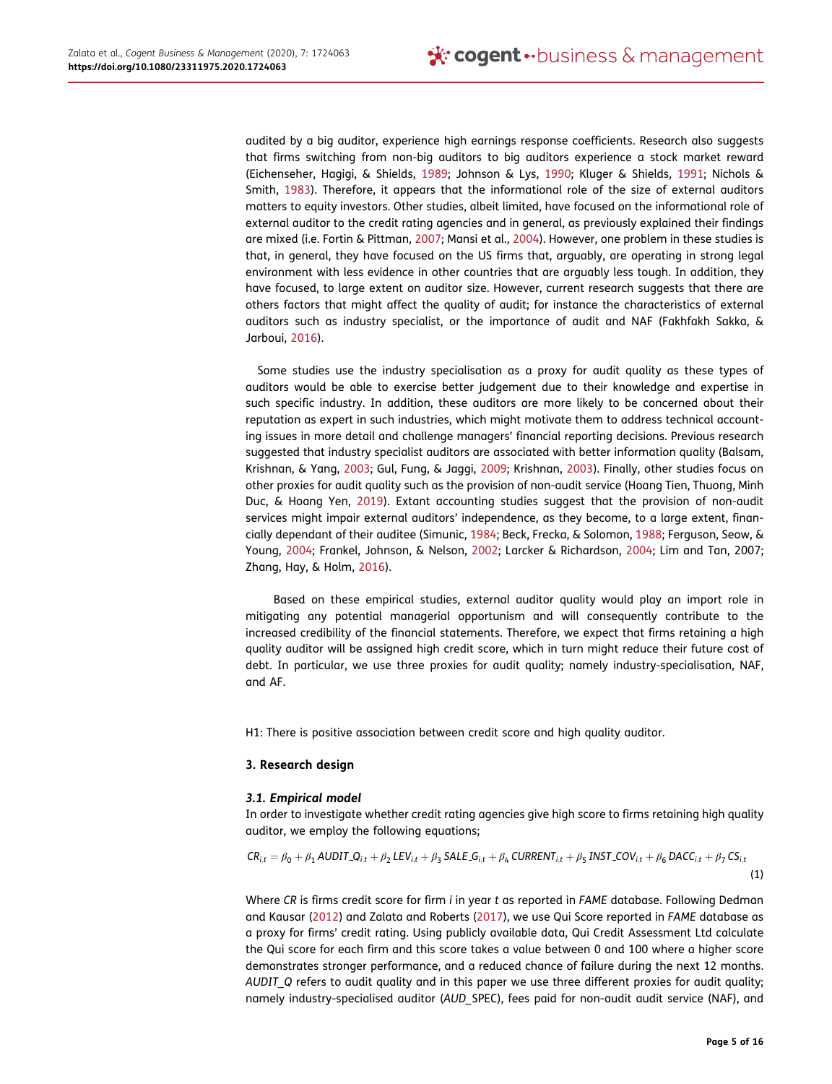<span id="page-4-6"></span><span id="page-4-2"></span>audited by a big auditor, experience high earnings response coefficients. Research also suggests that firms switching from non-big auditors to big auditors experience a stock market reward (Eichenseher, Hagigi, & Shields, [1989](#page-13-21); Johnson & Lys, [1990](#page-14-12); Kluger & Shields, [1991;](#page-14-13) Nichols & Smith, [1983\)](#page-14-14). Therefore, it appears that the informational role of the size of external auditors matters to equity investors. Other studies, albeit limited, have focused on the informational role of external auditor to the credit rating agencies and in general, as previously explained their findings are mixed (i.e. Fortin & Pittman, [2007](#page-13-7); Mansi et al., [2004](#page-14-5)). However, one problem in these studies is that, in general, they have focused on the US firms that, arguably, are operating in strong legal environment with less evidence in other countries that are arguably less tough. In addition, they have focused, to large extent on auditor size. However, current research suggests that there are others factors that might affect the quality of audit; for instance the characteristics of external auditors such as industry specialist, or the importance of audit and NAF (Fakhfakh Sakka, & Jarboui, [2016](#page-13-22)).

<span id="page-4-3"></span><span id="page-4-0"></span>Some studies use the industry specialisation as a proxy for audit quality as these types of auditors would be able to exercise better judgement due to their knowledge and expertise in such specific industry. In addition, these auditors are more likely to be concerned about their reputation as expert in such industries, which might motivate them to address technical accounting issues in more detail and challenge managers' financial reporting decisions. Previous research suggested that industry specialist auditors are associated with better information quality (Balsam, Krishnan, & Yang, [2003](#page-13-23); Gul, Fung, & Jaggi, [2009](#page-14-15); Krishnan, [2003\)](#page-14-16). Finally, other studies focus on other proxies for audit quality such as the provision of non-audit service (Hoang Tien, Thuong, Minh Duc, & Hoang Yen, [2019\)](#page-14-17). Extant accounting studies suggest that the provision of non-audit services might impair external auditors' independence, as they become, to a large extent, financially dependant of their auditee (Simunic, [1984;](#page-14-18) Beck, Frecka, & Solomon, [1988](#page-13-24); Ferguson, Seow, & Young, [2004;](#page-13-25) Frankel, Johnson, & Nelson, [2002](#page-13-26); Larcker & Richardson, [2004](#page-14-19); Lim and Tan, 2007; Zhang, Hay, & Holm, [2016](#page-15-1)).

<span id="page-4-7"></span><span id="page-4-5"></span><span id="page-4-4"></span><span id="page-4-1"></span>Based on these empirical studies, external auditor quality would play an import role in mitigating any potential managerial opportunism and will consequently contribute to the increased credibility of the financial statements. Therefore, we expect that firms retaining a high quality auditor will be assigned high credit score, which in turn might reduce their future cost of debt. In particular, we use three proxies for audit quality; namely industry-specialisation, NAF, and AF.

H1: There is positive association between credit score and high quality auditor.

## 3. Research design

## 3.1. Empirical model

In order to investigate whether credit rating agencies give high score to firms retaining high quality auditor, we employ the following equations;

$$
CR_{i,t} = \beta_0 + \beta_1 \text{AUDIT_Qi,t + \beta_2 \text{LEV}_{i,t} + \beta_3 \text{SALE}\_G_{i,t} + \beta_4 \text{CURRENT}_{i,t} + \beta_5 \text{INT}\_COV_{i,t} + \beta_6 \text{DACC}_{i,t} + \beta_7 \text{CS}_{i,t}
$$
\n(1)

Where CR is firms credit score for firm *i* in year t as reported in FAME database. Following Dedman and Kausar ([2012](#page-13-6)) and Zalata and Roberts [\(2017\)](#page-15-0), we use Qui Score reported in FAME database as a proxy for firms' credit rating. Using publicly available data, Qui Credit Assessment Ltd calculate the Qui score for each firm and this score takes a value between 0 and 100 where a higher score demonstrates stronger performance, and a reduced chance of failure during the next 12 months. AUDIT Q refers to audit quality and in this paper we use three different proxies for audit quality; namely industry-specialised auditor (AUD\_SPEC), fees paid for non-audit audit service (NAF), and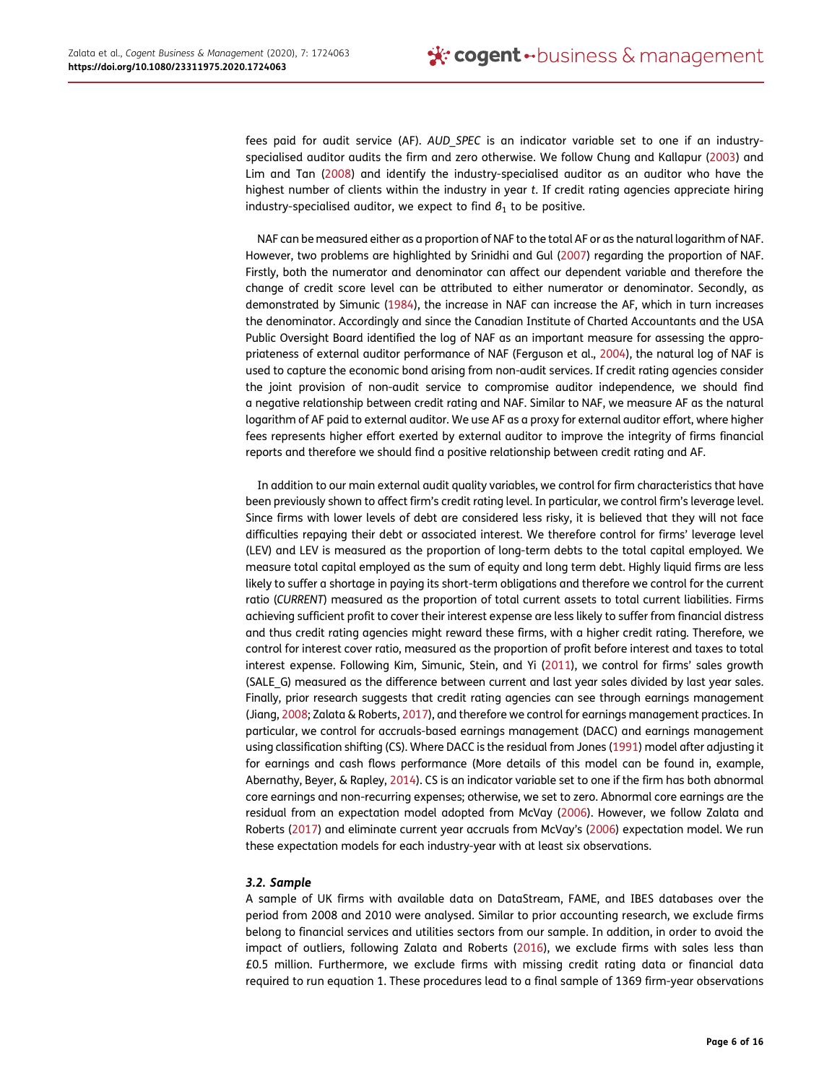<span id="page-5-4"></span><span id="page-5-1"></span>fees paid for audit service (AF). AUD SPEC is an indicator variable set to one if an industryspecialised auditor audits the firm and zero otherwise. We follow Chung and Kallapur ([2003](#page-13-27)) and Lim and Tan ([2008](#page-14-20)) and identify the industry-specialised auditor as an auditor who have the highest number of clients within the industry in year t. If credit rating agencies appreciate hiring industry-specialised auditor, we expect to find  $\theta_1$  to be positive.

<span id="page-5-5"></span>NAF can be measured either as a proportion of NAF to the total AF or as the natural logarithm of NAF. However, two problems are highlighted by Srinidhi and Gul ([2007\)](#page-14-21) regarding the proportion of NAF. Firstly, both the numerator and denominator can affect our dependent variable and therefore the change of credit score level can be attributed to either numerator or denominator. Secondly, as demonstrated by Simunic [\(1984](#page-14-18)), the increase in NAF can increase the AF, which in turn increases the denominator. Accordingly and since the Canadian Institute of Charted Accountants and the USA Public Oversight Board identified the log of NAF as an important measure for assessing the appropriateness of external auditor performance of NAF (Ferguson et al., [2004](#page-13-25)), the natural log of NAF is used to capture the economic bond arising from non-audit services. If credit rating agencies consider the joint provision of non-audit service to compromise auditor independence, we should find a negative relationship between credit rating and NAF. Similar to NAF, we measure AF as the natural logarithm of AF paid to external auditor. We use AF as a proxy for external auditor effort, where higher fees represents higher effort exerted by external auditor to improve the integrity of firms financial reports and therefore we should find a positive relationship between credit rating and AF.

<span id="page-5-3"></span>In addition to our main external audit quality variables, we control for firm characteristics that have been previously shown to affect firm's credit rating level. In particular, we control firm's leverage level. Since firms with lower levels of debt are considered less risky, it is believed that they will not face difficulties repaying their debt or associated interest. We therefore control for firms' leverage level (LEV) and LEV is measured as the proportion of long-term debts to the total capital employed. We measure total capital employed as the sum of equity and long term debt. Highly liquid firms are less likely to suffer a shortage in paying its short-term obligations and therefore we control for the current ratio (CURRENT) measured as the proportion of total current assets to total current liabilities. Firms achieving sufficient profit to cover their interest expense are less likely to suffer from financial distress and thus credit rating agencies might reward these firms, with a higher credit rating. Therefore, we control for interest cover ratio, measured as the proportion of profit before interest and taxes to total interest expense. Following Kim, Simunic, Stein, and Yi [\(2011](#page-14-22)), we control for firms' sales growth (SALE G) measured as the difference between current and last year sales divided by last year sales. Finally, prior research suggests that credit rating agencies can see through earnings management (Jiang, [2008](#page-14-3); Zalata & Roberts, [2017\)](#page-15-0), and therefore we control for earnings management practices. In particular, we control for accruals-based earnings management (DACC) and earnings management using classification shifting (CS). Where DACC is the residual from Jones ([1991\)](#page-14-23) model after adjusting it for earnings and cash flows performance (More details of this model can be found in, example, Abernathy, Beyer, & Rapley, [2014\)](#page-13-28). CS is an indicator variable set to one if the firm has both abnormal core earnings and non-recurring expenses; otherwise, we set to zero. Abnormal core earnings are the residual from an expectation model adopted from McVay ([2006\)](#page-14-8). However, we follow Zalata and Roberts ([2017\)](#page-15-0) and eliminate current year accruals from McVay's ([2006\)](#page-14-8) expectation model. We run these expectation models for each industry-year with at least six observations.

## <span id="page-5-2"></span><span id="page-5-0"></span>3.2. Sample

<span id="page-5-6"></span>A sample of UK firms with available data on DataStream, FAME, and IBES databases over the period from 2008 and 2010 were analysed. Similar to prior accounting research, we exclude firms belong to financial services and utilities sectors from our sample. In addition, in order to avoid the impact of outliers, following Zalata and Roberts ([2016](#page-15-2)), we exclude firms with sales less than £0.5 million. Furthermore, we exclude firms with missing credit rating data or financial data required to run equation 1. These procedures lead to a final sample of 1369 firm-year observations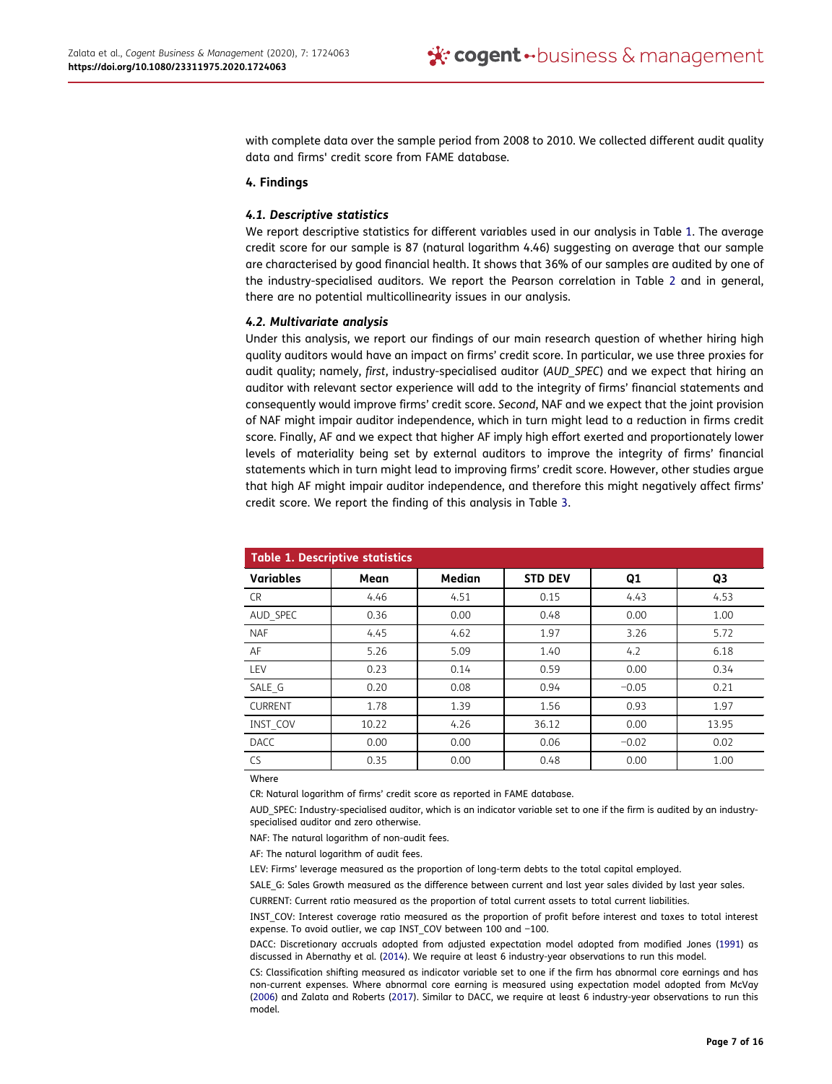with complete data over the sample period from 2008 to 2010. We collected different audit quality data and firms' credit score from FAME database.

### 4. Findings

#### 4.1. Descriptive statistics

We report descriptive statistics for different variables used in our analysis in Table [1](#page-6-0). The average credit score for our sample is 87 (natural logarithm 4.46) suggesting on average that our sample are characterised by good financial health. It shows that 36% of our samples are audited by one of the industry-specialised auditors. We report the Pearson correlation in Table [2](#page-7-0) and in general, there are no potential multicollinearity issues in our analysis.

#### 4.2. Multivariate analysis

Under this analysis, we report our findings of our main research question of whether hiring high quality auditors would have an impact on firms' credit score. In particular, we use three proxies for audit quality; namely, first, industry-specialised auditor (AUD\_SPEC) and we expect that hiring an auditor with relevant sector experience will add to the integrity of firms' financial statements and consequently would improve firms' credit score. Second, NAF and we expect that the joint provision of NAF might impair auditor independence, which in turn might lead to a reduction in firms credit score. Finally, AF and we expect that higher AF imply high effort exerted and proportionately lower levels of materiality being set by external auditors to improve the integrity of firms' financial statements which in turn might lead to improving firms' credit score. However, other studies argue that high AF might impair auditor independence, and therefore this might negatively affect firms' credit score. We report the finding of this analysis in Table [3](#page-8-0).

<span id="page-6-0"></span>

| <b>Table 1. Descriptive statistics</b> |       |        |                |         |       |
|----------------------------------------|-------|--------|----------------|---------|-------|
| Variables                              | Mean  | Median | <b>STD DEV</b> | Q1      | Q3    |
| CR.                                    | 4.46  | 4.51   | 0.15           | 4.43    | 4.53  |
| AUD SPEC                               | 0.36  | 0.00   | 0.48           | 0.00    | 1.00  |
| <b>NAF</b>                             | 4.45  | 4.62   | 1.97           | 3.26    | 5.72  |
| AF                                     | 5.26  | 5.09   | 1.40           | 4.2     | 6.18  |
| LEV                                    | 0.23  | 0.14   | 0.59           | 0.00    | 0.34  |
| SALE G                                 | 0.20  | 0.08   | 0.94           | $-0.05$ | 0.21  |
| <b>CURRENT</b>                         | 1.78  | 1.39   | 1.56           | 0.93    | 1.97  |
| <b>INST COV</b>                        | 10.22 | 4.26   | 36.12          | 0.00    | 13.95 |
| <b>DACC</b>                            | 0.00  | 0.00   | 0.06           | $-0.02$ | 0.02  |
| <b>CS</b>                              | 0.35  | 0.00   | 0.48           | 0.00    | 1.00  |

**Where** 

CR: Natural logarithm of firms' credit score as reported in FAME database.

AUD SPEC: Industry-specialised auditor, which is an indicator variable set to one if the firm is audited by an industryspecialised auditor and zero otherwise.

NAF: The natural logarithm of non-audit fees.

AF: The natural logarithm of audit fees.

LEV: Firms' leverage measured as the proportion of long-term debts to the total capital employed.

SALE\_G: Sales Growth measured as the difference between current and last year sales divided by last year sales.

CURRENT: Current ratio measured as the proportion of total current assets to total current liabilities.

INST\_COV: Interest coverage ratio measured as the proportion of profit before interest and taxes to total interest expense. To avoid outlier, we cap INST\_COV between 100 and −100.

DACC: Discretionary accruals adopted from adjusted expectation model adopted from modified Jones ([1991\)](#page-14-23) as discussed in Abernathy et al. [\(2014](#page-13-28)). We require at least 6 industry-year observations to run this model.

CS: Classification shifting measured as indicator variable set to one if the firm has abnormal core earnings and has non-current expenses. Where abnormal core earning is measured using expectation model adopted from McVay [\(2006](#page-14-8)) and Zalata and Roberts ([2017\)](#page-15-0). Similar to DACC, we require at least 6 industry-year observations to run this model.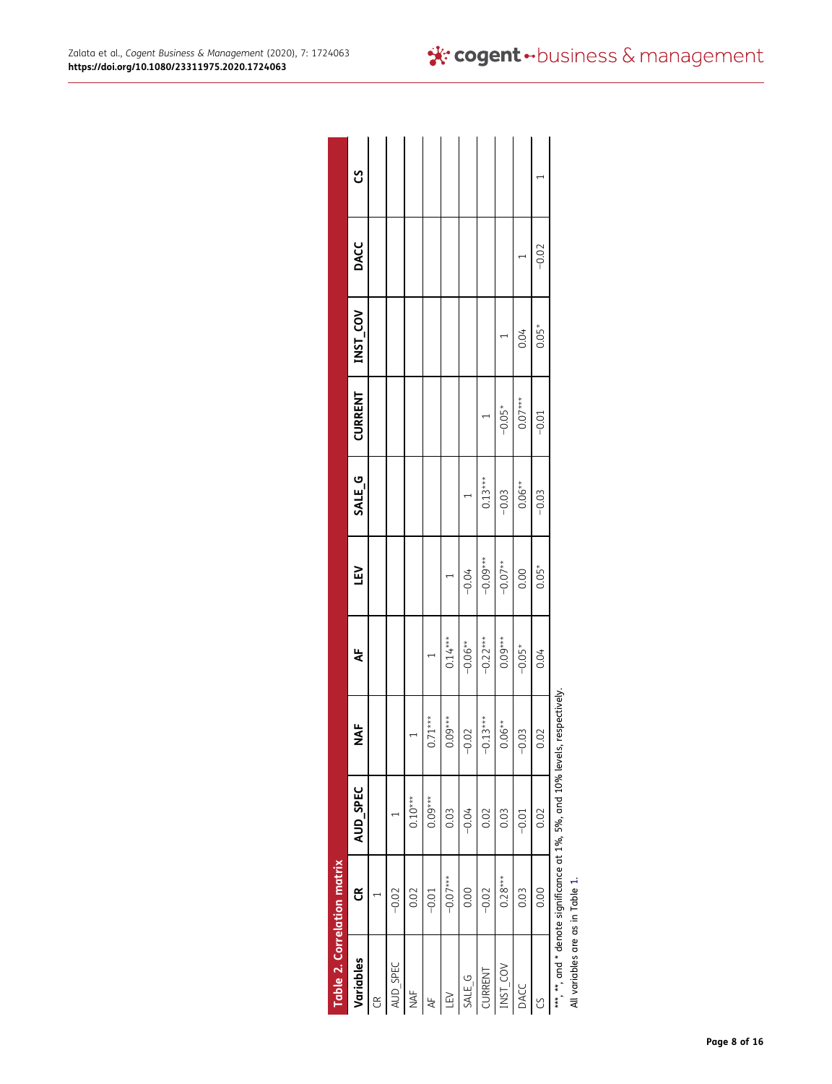<span id="page-7-0"></span>

|                                  | <b>Table 2. Correlation matrix</b> |                                                               |                 |            |                |                   |                |          |         |   |
|----------------------------------|------------------------------------|---------------------------------------------------------------|-----------------|------------|----------------|-------------------|----------------|----------|---------|---|
| Variables                        | ෪                                  | AUD_SPEC                                                      | $rac{1}{2}$     | ₹          | $\mathbf{z}$   | SALE <sub>G</sub> | <b>CURRENT</b> | INST_COV | DACC    | უ |
| ã                                |                                    |                                                               |                 |            |                |                   |                |          |         |   |
| AUD_SPEC                         | $-0.02$                            |                                                               |                 |            |                |                   |                |          |         |   |
| <b>VAF</b>                       | 0.02                               | $0.10***$                                                     |                 |            |                |                   |                |          |         |   |
| ₹                                | $-0.01$                            | $0.09***$                                                     | $0.71***$       |            |                |                   |                |          |         |   |
| Ξ                                | $-0.07***$                         | 0.03                                                          | $0.09***$       | $0.14***$  | $\overline{a}$ |                   |                |          |         |   |
| SALE <sub>C</sub>                | 0.00                               | $-0.04$                                                       | $-0.02$         | $-0.06**$  | $-0.04$        |                   |                |          |         |   |
| CURRENT                          | $-0.02$                            | 0.02                                                          | $-0.13***$      | $-0.22***$ | $-0.09***$     | $0.13***$         |                |          |         |   |
| INST_COV                         | $0.28***$                          | 0.03                                                          | $0.06**$        | $0.09***$  | $-0.07**$      | $-0.03$           | $-0.05*$       |          |         |   |
| DACC                             | 0.03                               | $-0.01$                                                       | $-0.03$         | $-0.05*$   | 0.00           | $0.06***$         | $0.07***$      | 0.04     |         |   |
|                                  | 0.00                               | 0.02                                                          | 0.02            | 0.04       | $0.05*$        | $-0.03$           | $-0.01$        | $0.05*$  | $-0.02$ |   |
| All variables are as in Table 1. |                                    | ***, **, and * denote significance at 1%, 5%, and 10% levels, | , respectively. |            |                |                   |                |          |         |   |

| <u>יומור</u><br>۱               |
|---------------------------------|
| $\sim$<br>ï                     |
| -<br>ג                          |
| )<br>)<br>)<br>)<br>)<br>č<br>V |
| 2<br>1                          |
| ;                               |
| きゃく きょうこうしょうこう りょうこうせき          |
|                                 |
|                                 |
|                                 |
| **                              |
|                                 |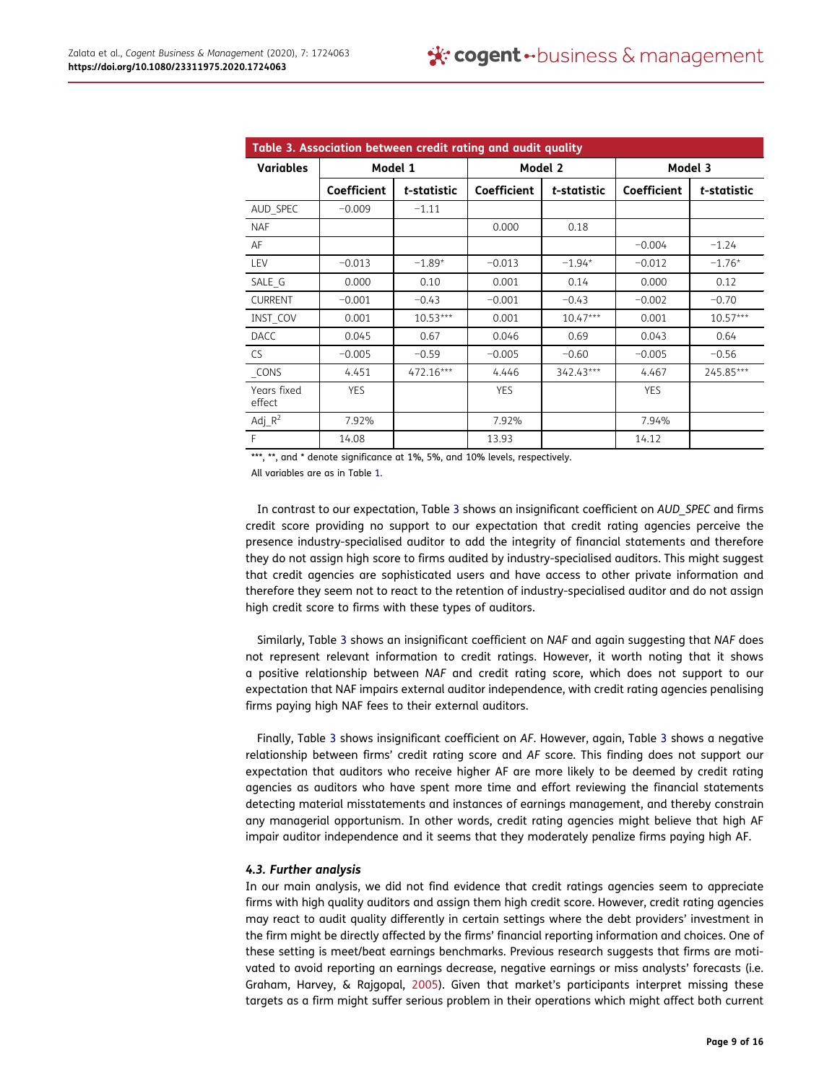<span id="page-8-0"></span>

| Table 3. Association between credit rating and audit quality |                    |             |             |             |                    |             |  |
|--------------------------------------------------------------|--------------------|-------------|-------------|-------------|--------------------|-------------|--|
| Variables                                                    | Model 1            |             |             | Model 2     |                    | Model 3     |  |
|                                                              | <b>Coefficient</b> | t-statistic | Coefficient | t-statistic | <b>Coefficient</b> | t-statistic |  |
| AUD_SPEC                                                     | $-0.009$           | $-1.11$     |             |             |                    |             |  |
| <b>NAF</b>                                                   |                    |             | 0.000       | 0.18        |                    |             |  |
| AF                                                           |                    |             |             |             | $-0.004$           | $-1.24$     |  |
| LEV                                                          | $-0.013$           | $-1.89*$    | $-0.013$    | $-1.94*$    | $-0.012$           | $-1.76*$    |  |
| SALE G                                                       | 0.000              | 0.10        | 0.001       | 0.14        | 0.000              | 0.12        |  |
| <b>CURRENT</b>                                               | $-0.001$           | $-0.43$     | $-0.001$    | $-0.43$     | $-0.002$           | $-0.70$     |  |
| INST COV                                                     | 0.001              | $10.53***$  | 0.001       | $10.47***$  | 0.001              | $10.57***$  |  |
| <b>DACC</b>                                                  | 0.045              | 0.67        | 0.046       | 0.69        | 0.043              | 0.64        |  |
| <b>CS</b>                                                    | $-0.005$           | $-0.59$     | $-0.005$    | $-0.60$     | $-0.005$           | $-0.56$     |  |
| CONS                                                         | 4.451              | 472.16***   | 4.446       | 342.43***   | 4.467              | 245.85***   |  |
| Years fixed<br>effect                                        | <b>YES</b>         |             | <b>YES</b>  |             | <b>YES</b>         |             |  |
| Adj $_R^2$                                                   | 7.92%              |             | 7.92%       |             | 7.94%              |             |  |
| $\mathsf{F}$                                                 | 14.08              |             | 13.93       |             | 14.12              |             |  |

\*\*\*, \*\*, and \* denote significance at 1%, 5%, and 10% levels, respectively.

All variables are as in Table [1.](#page-6-0)

In contrast to our expectation, Table [3](#page-8-0) shows an insignificant coefficient on AUD\_SPEC and firms credit score providing no support to our expectation that credit rating agencies perceive the presence industry-specialised auditor to add the integrity of financial statements and therefore they do not assign high score to firms audited by industry-specialised auditors. This might suggest that credit agencies are sophisticated users and have access to other private information and therefore they seem not to react to the retention of industry-specialised auditor and do not assign high credit score to firms with these types of auditors.

Similarly, Table [3](#page-8-0) shows an insignificant coefficient on NAF and again suggesting that NAF does not represent relevant information to credit ratings. However, it worth noting that it shows a positive relationship between NAF and credit rating score, which does not support to our expectation that NAF impairs external auditor independence, with credit rating agencies penalising firms paying high NAF fees to their external auditors.

Finally, Table [3](#page-8-0) shows insignificant coefficient on AF. However, again, Table [3](#page-8-0) shows a negative relationship between firms' credit rating score and AF score. This finding does not support our expectation that auditors who receive higher AF are more likely to be deemed by credit rating agencies as auditors who have spent more time and effort reviewing the financial statements detecting material misstatements and instances of earnings management, and thereby constrain any managerial opportunism. In other words, credit rating agencies might believe that high AF impair auditor independence and it seems that they moderately penalize firms paying high AF.

#### 4.3. Further analysis

<span id="page-8-1"></span>In our main analysis, we did not find evidence that credit ratings agencies seem to appreciate firms with high quality auditors and assign them high credit score. However, credit rating agencies may react to audit quality differently in certain settings where the debt providers' investment in the firm might be directly affected by the firms' financial reporting information and choices. One of these setting is meet/beat earnings benchmarks. Previous research suggests that firms are motivated to avoid reporting an earnings decrease, negative earnings or miss analysts' forecasts (i.e. Graham, Harvey, & Rajgopal, [2005](#page-14-24)). Given that market's participants interpret missing these targets as a firm might suffer serious problem in their operations which might affect both current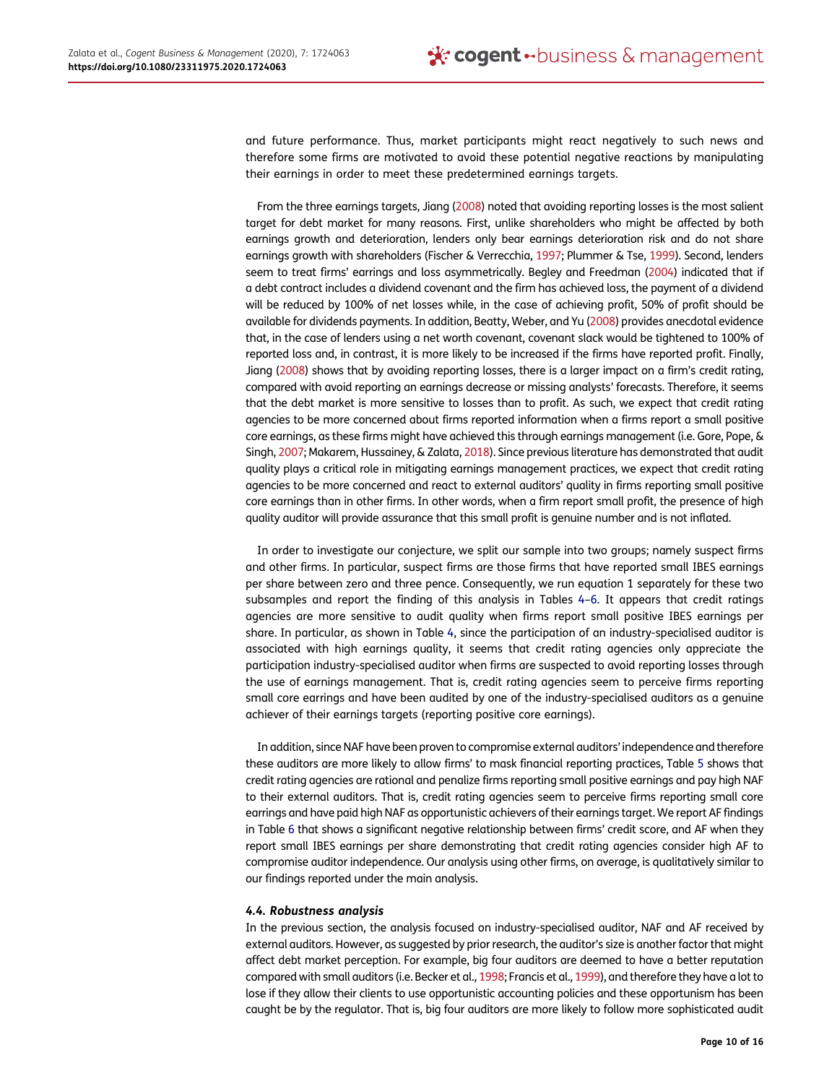and future performance. Thus, market participants might react negatively to such news and therefore some firms are motivated to avoid these potential negative reactions by manipulating their earnings in order to meet these predetermined earnings targets.

<span id="page-9-2"></span><span id="page-9-1"></span><span id="page-9-0"></span>From the three earnings targets, Jiang [\(2008\)](#page-14-3) noted that avoiding reporting losses is the most salient target for debt market for many reasons. First, unlike shareholders who might be affected by both earnings growth and deterioration, lenders only bear earnings deterioration risk and do not share earnings growth with shareholders (Fischer & Verrecchia, [1997](#page-13-29); Plummer & Tse, [1999\)](#page-14-25). Second, lenders seem to treat firms' earrings and loss asymmetrically. Begley and Freedman [\(2004\)](#page-13-30) indicated that if a debt contract includes a dividend covenant and the firm has achieved loss, the payment of a dividend will be reduced by 100% of net losses while, in the case of achieving profit, 50% of profit should be available for dividends payments. In addition, Beatty, Weber, and Yu [\(2008\)](#page-13-31) provides anecdotal evidence that, in the case of lenders using a net worth covenant, covenant slack would be tightened to 100% of reported loss and, in contrast, it is more likely to be increased if the firms have reported profit. Finally, Jiang ([2008](#page-14-3)) shows that by avoiding reporting losses, there is a larger impact on a firm's credit rating, compared with avoid reporting an earnings decrease or missing analysts' forecasts. Therefore, it seems that the debt market is more sensitive to losses than to profit. As such, we expect that credit rating agencies to be more concerned about firms reported information when a firms report a small positive core earnings, as these firms might have achieved this through earnings management (i.e. Gore, Pope, & Singh, [2007;](#page-14-26) Makarem, Hussainey, & Zalata, [2018\)](#page-14-27). Since previous literature has demonstrated that audit quality plays a critical role in mitigating earnings management practices, we expect that credit rating agencies to be more concerned and react to external auditors' quality in firms reporting small positive core earnings than in other firms. In other words, when a firm report small profit, the presence of high quality auditor will provide assurance that this small profit is genuine number and is not inflated.

<span id="page-9-3"></span>In order to investigate our conjecture, we split our sample into two groups; namely suspect firms and other firms. In particular, suspect firms are those firms that have reported small IBES earnings per share between zero and three pence. Consequently, we run equation 1 separately for these two subsamples and report the finding of this analysis in Tables [4](#page-10-0)–[6](#page-11-0). It appears that credit ratings agencies are more sensitive to audit quality when firms report small positive IBES earnings per share. In particular, as shown in Table [4,](#page-10-0) since the participation of an industry-specialised auditor is associated with high earnings quality, it seems that credit rating agencies only appreciate the participation industry-specialised auditor when firms are suspected to avoid reporting losses through the use of earnings management. That is, credit rating agencies seem to perceive firms reporting small core earrings and have been audited by one of the industry-specialised auditors as a genuine achiever of their earnings targets (reporting positive core earnings).

In addition, since NAF have been proven to compromise external auditors' independence and therefore these auditors are more likely to allow firms' to mask financial reporting practices, Table [5](#page-10-1) shows that credit rating agencies are rational and penalize firms reporting small positive earnings and pay high NAF to their external auditors. That is, credit rating agencies seem to perceive firms reporting small core earrings and have paid high NAF as opportunistic achievers of their earnings target. We report AF findings in Table [6](#page-11-0) that shows a significant negative relationship between firms' credit score, and AF when they report small IBES earnings per share demonstrating that credit rating agencies consider high AF to compromise auditor independence. Our analysis using other firms, on average, is qualitatively similar to our findings reported under the main analysis.

#### 4.4. Robustness analysis

In the previous section, the analysis focused on industry-specialised auditor, NAF and AF received by external auditors. However, as suggested by prior research, the auditor's size is another factor that might affect debt market perception. For example, big four auditors are deemed to have a better reputation compared with small auditors (i.e. Becker et al., [1998;](#page-13-18) Francis et al., [1999\)](#page-13-15), and therefore they have a lot to lose if they allow their clients to use opportunistic accounting policies and these opportunism has been caught be by the regulator. That is, big four auditors are more likely to follow more sophisticated audit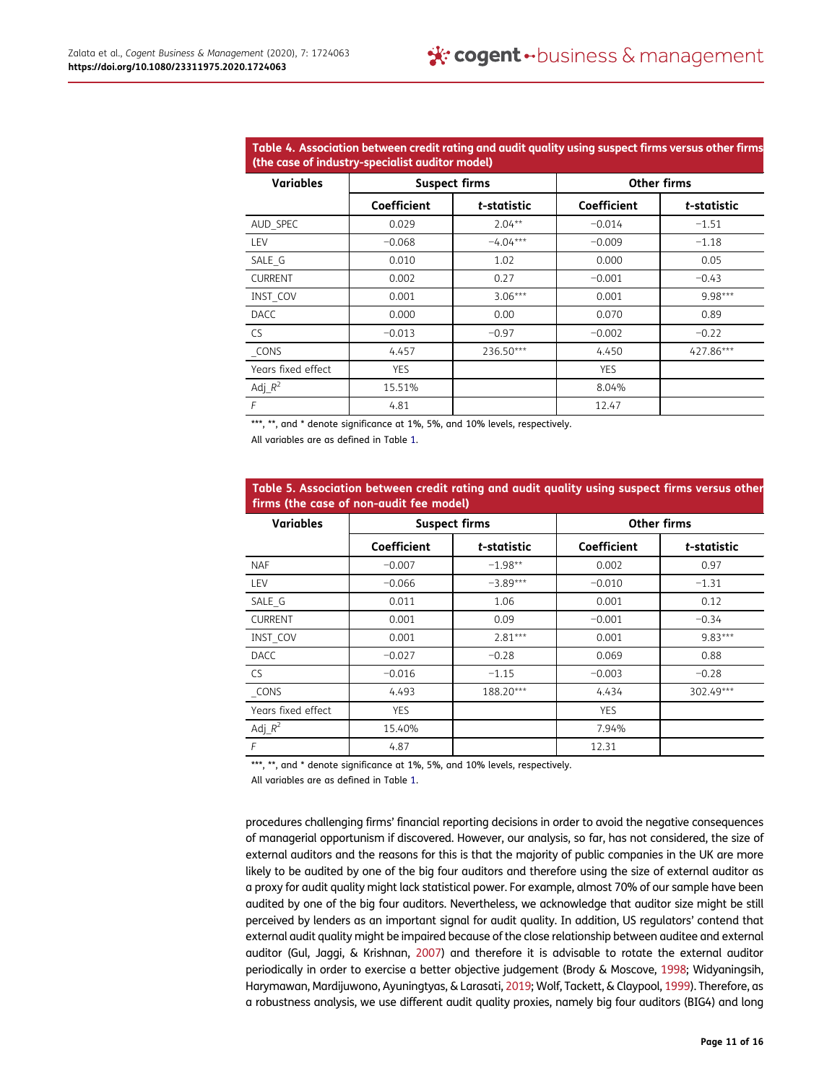<span id="page-10-0"></span>

| Table 4. Association between credit rating and audit quality using suspect firms versus other firms |  |
|-----------------------------------------------------------------------------------------------------|--|
| (the case of industry-specialist auditor model)                                                     |  |

| <b>Variables</b>   |             | <b>Suspect firms</b>                                                        | <b>Other firms</b> |             |  |
|--------------------|-------------|-----------------------------------------------------------------------------|--------------------|-------------|--|
|                    | Coefficient | t-statistic                                                                 | Coefficient        | t-statistic |  |
| AUD SPEC           | 0.029       | $2.04***$                                                                   | $-0.014$           | $-1.51$     |  |
| LEV                | $-0.068$    | $-4.04***$                                                                  | $-0.009$           | $-1.18$     |  |
| SALE G             | 0.010       | 1.02                                                                        | 0.000              | 0.05        |  |
| <b>CURRENT</b>     | 0.002       | 0.27                                                                        | $-0.001$           | $-0.43$     |  |
| INST COV           | 0.001       | $3.06***$                                                                   | 0.001              | $9.98***$   |  |
| DACC               | 0.000       | 0.00                                                                        | 0.070              | 0.89        |  |
| <b>CS</b>          | $-0.013$    | $-0.97$                                                                     | $-0.002$           | $-0.22$     |  |
| CONS               | 4.457       | 236.50***                                                                   | 4.450              | 427.86***   |  |
| Years fixed effect | <b>YES</b>  |                                                                             | <b>YES</b>         |             |  |
| Adj $R^2$          | 15.51%      |                                                                             | 8.04%              |             |  |
| F                  | 4.81        |                                                                             | 12.47              |             |  |
|                    |             | ***, **, and * denote significance at 1%, 5%, and 10% levels, respectively. |                    |             |  |

All variables are as defined in Table [1.](#page-6-0)

### <span id="page-10-1"></span>Table 5. Association between credit rating and audit quality using suspect firms versus other firms (the case of non-audit fee model)

| Variables          |             | <b>Suspect firms</b> | <b>Other firms</b> |             |  |
|--------------------|-------------|----------------------|--------------------|-------------|--|
|                    | Coefficient | t-statistic          | <b>Coefficient</b> | t-statistic |  |
| <b>NAF</b>         | $-0.007$    | $-1.98**$            | 0.002              | 0.97        |  |
| LEV                | $-0.066$    | $-3.89***$           | $-0.010$           | $-1.31$     |  |
| SALE G             | 0.011       | 1.06                 | 0.001              | 0.12        |  |
| <b>CURRENT</b>     | 0.001       | 0.09                 | $-0.001$           | $-0.34$     |  |
| INST COV           | 0.001       | $2.81***$            | 0.001              | $9.83***$   |  |
| <b>DACC</b>        | $-0.027$    | $-0.28$              | 0.069              | 0.88        |  |
| <b>CS</b>          | $-0.016$    | $-1.15$              | $-0.003$           | $-0.28$     |  |
| CONS               | 4.493       | 188.20***            | 4.434              | 302.49***   |  |
| Years fixed effect | <b>YES</b>  |                      | <b>YES</b>         |             |  |
| Adj $R^2$          | 15.40%      |                      | 7.94%              |             |  |
| $\sqrt{F}$         | 4.87        |                      | 12.31              |             |  |

 $\begin{array}{c|c|c|c} \hline \end{array} \begin{array}{c|c} \hline \end{array} \begin{array}{c} \hline \end{array} \begin{array}{c} \hline \end{array} \begin{array}{c} \hline \end{array} \begin{array}{c} \hline \end{array} \begin{array}{c} \hline \end{array} \begin{array}{c} \hline \end{array} \begin{array}{c} \hline \end{array} \begin{array}{c} \hline \end{array} \begin{array}{c} \hline \end{array} \begin{array}{c} \hline \end{array} \begin{array}{c} \hline \end{array} \begin{array}{c} \hline \end{array} \begin$ 

All variables are as defined in Table [1.](#page-6-0)

<span id="page-10-4"></span><span id="page-10-3"></span><span id="page-10-2"></span>procedures challenging firms' financial reporting decisions in order to avoid the negative consequences of managerial opportunism if discovered. However, our analysis, so far, has not considered, the size of external auditors and the reasons for this is that the majority of public companies in the UK are more likely to be audited by one of the big four auditors and therefore using the size of external auditor as a proxy for audit quality might lack statistical power. For example, almost 70% of our sample have been audited by one of the big four auditors. Nevertheless, we acknowledge that auditor size might be still perceived by lenders as an important signal for audit quality. In addition, US regulators' contend that external audit quality might be impaired because of the close relationship between auditee and external auditor (Gul, Jaggi, & Krishnan, [2007](#page-14-28)) and therefore it is advisable to rotate the external auditor periodically in order to exercise a better objective judgement (Brody & Moscove, [1998;](#page-13-32) Widyaningsih, Harymawan, Mardijuwono, Ayuningtyas, & Larasati, [2019](#page-14-29); Wolf, Tackett, & Claypool, [1999\)](#page-14-30). Therefore, as a robustness analysis, we use different audit quality proxies, namely big four auditors (BIG4) and long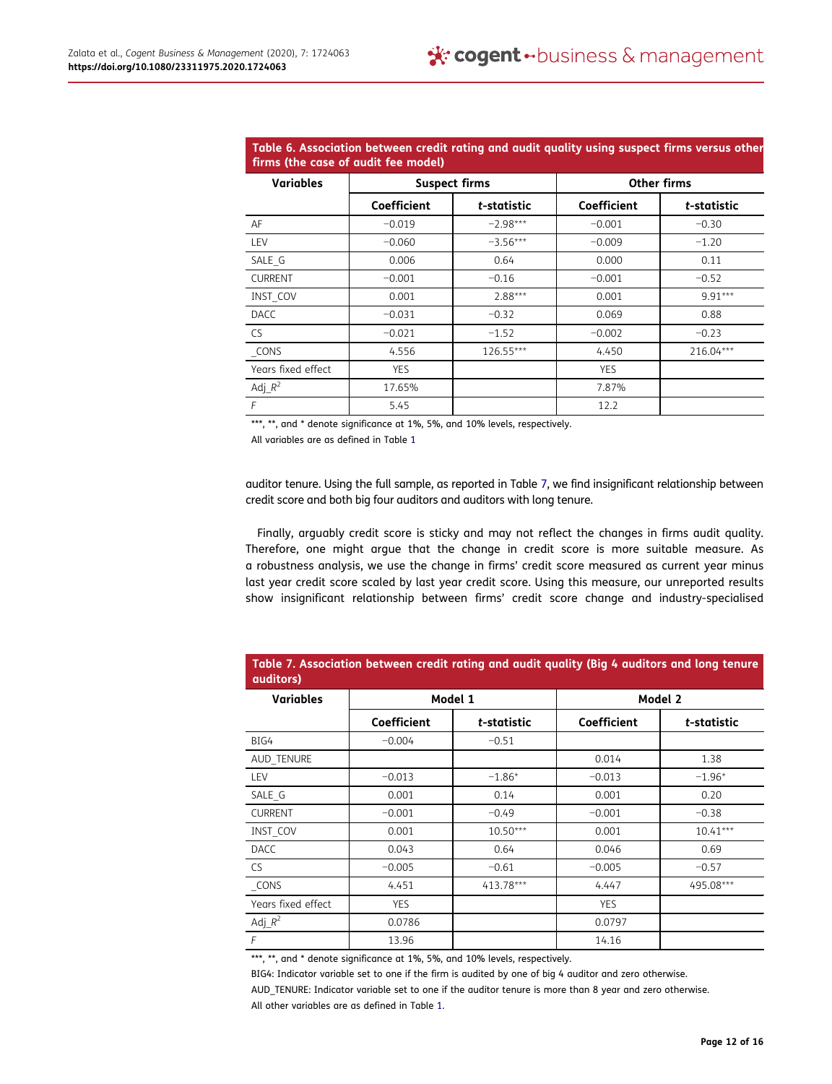<span id="page-11-0"></span>

|                | Table 6. Association between credit rating and audit quality using suspect firms versus other<br>firms (the case of audit fee model) |                      |             |                    |  |  |  |  |
|----------------|--------------------------------------------------------------------------------------------------------------------------------------|----------------------|-------------|--------------------|--|--|--|--|
| Variables      |                                                                                                                                      | <b>Suspect firms</b> |             | <b>Other firms</b> |  |  |  |  |
|                | Coefficient                                                                                                                          | t-statistic          | Coefficient | t-statistic        |  |  |  |  |
| AF             | $-0.019$                                                                                                                             | $-2.98***$           | $-0.001$    | $-0.30$            |  |  |  |  |
| <b>LEV</b>     | $-0.060$                                                                                                                             | $-3.56***$           | $-0.009$    | $-1.20$            |  |  |  |  |
| SALE G         | 0.006                                                                                                                                | 0.64                 | 0.000       | 0.11               |  |  |  |  |
| <b>CURRENT</b> | $-0.001$                                                                                                                             | $-0.16$              | $-0.001$    | $-0.52$            |  |  |  |  |

INST\_COV 0.001 2.88\*\*\* 0.001 9.91\*\*\* DACC −0.031 −0.32 0.069 0.88 CS −0.021 − −1.52 − −0.002 − −0.23 \_CONS 4.556 126.55\*\*\* 4.450 216.04\*\*\*

| Table 6. Association between credit rating and audit quality using suspect firms versus other, |  |  |
|------------------------------------------------------------------------------------------------|--|--|
| firms (the case of audit fee model)                                                            |  |  |

 $\begin{array}{c|c|c} \hline \end{array}$  5.45  $\begin{array}{|c|c|c|}\hline \end{array}$  12.2  $\begin{array}{|c|c|c|}\hline \end{array}$  12.2  $\begin{array}{|c|c|c|}\hline \end{array}$ 

Years fixed effect  $YES$  YES NOTES Adj\_ $R^2$  17.65% 7.87%

All variables are as defined in Table [1](#page-6-0)

auditor tenure. Using the full sample, as reported in Table [7,](#page-11-1) we find insignificant relationship between credit score and both big four auditors and auditors with long tenure.

Finally, arguably credit score is sticky and may not reflect the changes in firms audit quality. Therefore, one might argue that the change in credit score is more suitable measure. As a robustness analysis, we use the change in firms' credit score measured as current year minus last year credit score scaled by last year credit score. Using this measure, our unreported results show insignificant relationship between firms' credit score change and industry-specialised

| <b>Variables</b>   | Model 1            |             | Model 2     |             |  |
|--------------------|--------------------|-------------|-------------|-------------|--|
|                    | <b>Coefficient</b> | t-statistic | Coefficient | t-statistic |  |
| BIG4               | $-0.004$           | $-0.51$     |             |             |  |
| AUD_TENURE         |                    |             | 0.014       | 1.38        |  |
| LEV                | $-0.013$           | $-1.86*$    | $-0.013$    | $-1.96*$    |  |
| SALE G             | 0.001              | 0.14        | 0.001       | 0.20        |  |
| <b>CURRENT</b>     | $-0.001$           | $-0.49$     | $-0.001$    | $-0.38$     |  |
| INST COV           | 0.001              | $10.50***$  | 0.001       | $10.41***$  |  |
| DACC               | 0.043              | 0.64        | 0.046       | 0.69        |  |
| CS.                | $-0.005$           | $-0.61$     | $-0.005$    | $-0.57$     |  |
| CONS               | 4.451              | 413.78***   | 4.447       | 495.08***   |  |
| Years fixed effect | <b>YES</b>         |             | YES         |             |  |
| Adj $R^2$          | 0.0786             |             | 0.0797      |             |  |
| F                  | 13.96              |             | 14.16       |             |  |

<span id="page-11-1"></span>Table 7. Association between credit rating and audit quality (Big 4 auditors and long tenure

BIG4: Indicator variable set to one if the firm is audited by one of big 4 auditor and zero otherwise.

AUD\_TENURE: Indicator variable set to one if the auditor tenure is more than 8 year and zero otherwise. All other variables are as defined in Table [1](#page-6-0).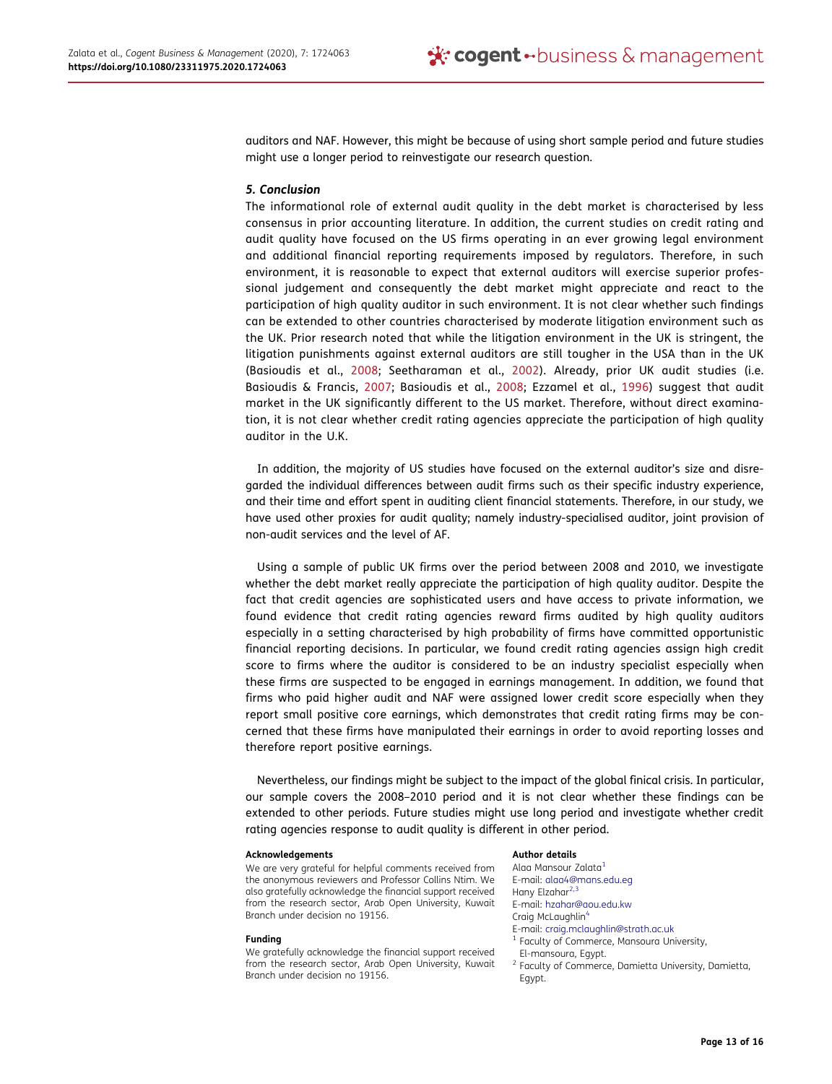auditors and NAF. However, this might be because of using short sample period and future studies might use a longer period to reinvestigate our research question.

#### 5. Conclusion

The informational role of external audit quality in the debt market is characterised by less consensus in prior accounting literature. In addition, the current studies on credit rating and audit quality have focused on the US firms operating in an ever growing legal environment and additional financial reporting requirements imposed by regulators. Therefore, in such environment, it is reasonable to expect that external auditors will exercise superior professional judgement and consequently the debt market might appreciate and react to the participation of high quality auditor in such environment. It is not clear whether such findings can be extended to other countries characterised by moderate litigation environment such as the UK. Prior research noted that while the litigation environment in the UK is stringent, the litigation punishments against external auditors are still tougher in the USA than in the UK (Basioudis et al., [2008](#page-13-8); Seetharaman et al., [2002](#page-14-6)). Already, prior UK audit studies (i.e. Basioudis & Francis, [2007;](#page-13-9) Basioudis et al., [2008;](#page-13-8) Ezzamel et al., [1996](#page-13-10)) suggest that audit market in the UK significantly different to the US market. Therefore, without direct examination, it is not clear whether credit rating agencies appreciate the participation of high quality auditor in the U.K.

In addition, the majority of US studies have focused on the external auditor's size and disregarded the individual differences between audit firms such as their specific industry experience, and their time and effort spent in auditing client financial statements. Therefore, in our study, we have used other proxies for audit quality; namely industry-specialised auditor, joint provision of non-audit services and the level of AF.

Using a sample of public UK firms over the period between 2008 and 2010, we investigate whether the debt market really appreciate the participation of high quality auditor. Despite the fact that credit agencies are sophisticated users and have access to private information, we found evidence that credit rating agencies reward firms audited by high quality auditors especially in a setting characterised by high probability of firms have committed opportunistic financial reporting decisions. In particular, we found credit rating agencies assign high credit score to firms where the auditor is considered to be an industry specialist especially when these firms are suspected to be engaged in earnings management. In addition, we found that firms who paid higher audit and NAF were assigned lower credit score especially when they report small positive core earnings, which demonstrates that credit rating firms may be concerned that these firms have manipulated their earnings in order to avoid reporting losses and therefore report positive earnings.

Nevertheless, our findings might be subject to the impact of the global finical crisis. In particular, our sample covers the 2008–2010 period and it is not clear whether these findings can be extended to other periods. Future studies might use long period and investigate whether credit rating agencies response to audit quality is different in other period.

#### Acknowledgements

We are very grateful for helpful comments received from the anonymous reviewers and Professor Collins Ntim. We also gratefully acknowledge the financial support received from the research sector, Arab Open University, Kuwait Branch under decision no 19156.

#### Funding

We gratefully acknowledge the financial support received from the research sector, Arab Open University, Kuwait Branch under decision no 19156.

#### Author details

<span id="page-12-2"></span><span id="page-12-1"></span><span id="page-12-0"></span>Alaa Mansour Zalata<sup>[1](#page-0-0)</sup> E-mail: alaa4@mans.edu.eg Hany Elzahar<sup>[2,3](#page-0-0)</sup> E-mail: hzahar@aou.edu.kw Craig McLaughlin<sup>4</sup> E-mail: craig.mclaughlin@strath.ac.uk <sup>1</sup> Faculty of Commerce, Mansoura University, El-mansoura, Egypt.

<sup>2</sup> Faculty of Commerce, Damietta University, Damietta, Egypt.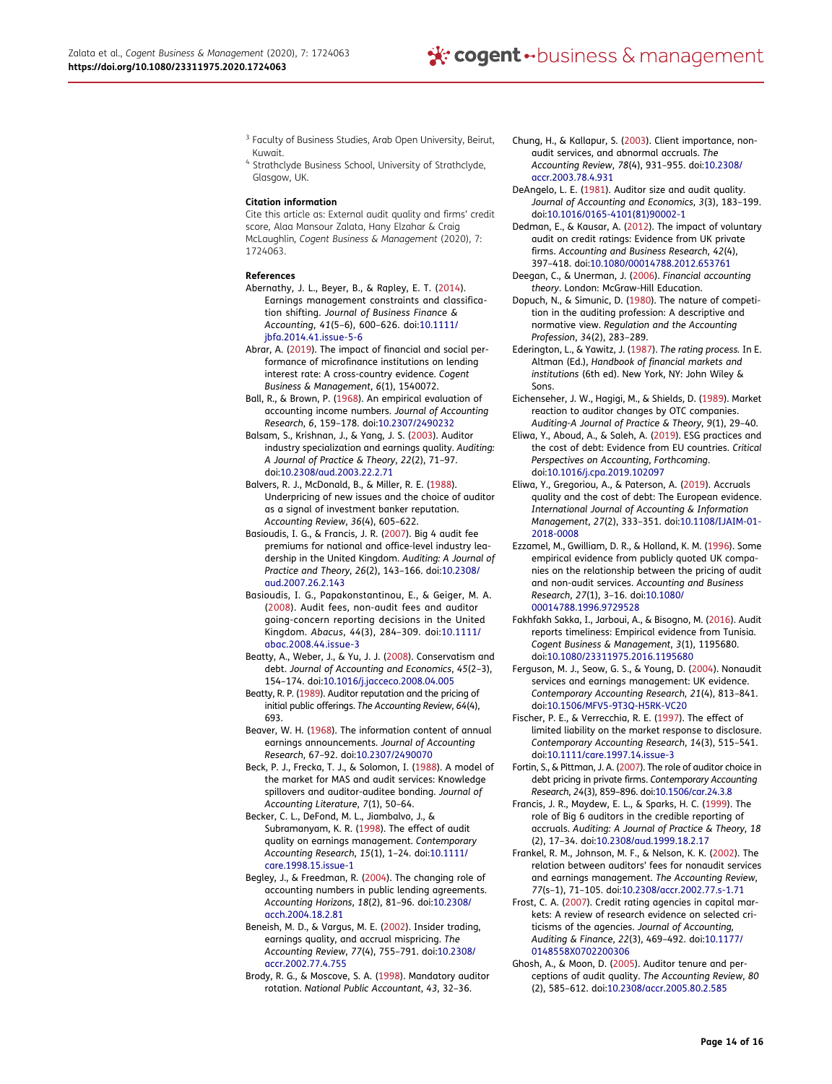- <sup>3</sup> Faculty of Business Studies, Arab Open University, Beirut, Kuwait.
- <sup>4</sup> Strathclyde Business School, University of Strathclyde, Glasgow, UK.

#### Citation information

Cite this article as: External audit quality and firms' credit score, Alaa Mansour Zalata, Hany Elzahar & Craig McLaughlin, Cogent Business & Management (2020), 7: 1724063.

#### References

- <span id="page-13-28"></span>Abernathy, J. L., Beyer, B., & Rapley, E. T. [\(2014](#page-5-0)). Earnings management constraints and classification shifting. Journal of Business Finance & Accounting, 41(5–6), 600–626. doi:[10.1111/](https://doi.org/10.1111/jbfa.2014.41.issue-5-6) [jbfa.2014.41.issue-5-6](https://doi.org/10.1111/jbfa.2014.41.issue-5-6)
- <span id="page-13-2"></span>Abrar, A. [\(2019](#page-1-0)). The impact of financial and social performance of microfinance institutions on lending interest rate: A cross-country evidence. Cogent Business & Management, 6(1), 1540072.
- <span id="page-13-12"></span>Ball, R., & Brown, P. ([1968](#page-3-0)). An empirical evaluation of accounting income numbers. Journal of Accounting Research, 6, 159–178. doi:[10.2307/2490232](https://doi.org/10.2307/2490232)
- <span id="page-13-23"></span>Balsam, S., Krishnan, J., & Yang, J. S. [\(2003](#page-4-0)). Auditor industry specialization and earnings quality. Auditing: A Journal of Practice & Theory, 22(2), 71–97. doi:[10.2308/aud.2003.22.2.71](https://doi.org/10.2308/aud.2003.22.2.71)
- <span id="page-13-19"></span>Balvers, R. J., McDonald, B., & Miller, R. E. ([1988\)](#page-3-1). Underpricing of new issues and the choice of auditor as a signal of investment banker reputation. Accounting Review, 36(4), 605–622.
- <span id="page-13-9"></span>Basioudis, I. G., & Francis, J. R. ([2007](#page-2-0)). Big 4 audit fee premiums for national and office-level industry leadership in the United Kingdom. Auditing: A Journal of Practice and Theory, 26(2), 143–166. doi:[10.2308/](https://doi.org/10.2308/aud.2007.26.2.143) [aud.2007.26.2.143](https://doi.org/10.2308/aud.2007.26.2.143)
- <span id="page-13-8"></span>Basioudis, I. G., Papakonstantinou, E., & Geiger, M. A. [\(2008\)](#page-2-1). Audit fees, non-audit fees and auditor going-concern reporting decisions in the United Kingdom. Abacus, 44(3), 284–309. doi:[10.1111/](https://doi.org/10.1111/abac.2008.44.issue-3) [abac.2008.44.issue-3](https://doi.org/10.1111/abac.2008.44.issue-3)
- <span id="page-13-31"></span>Beatty, A., Weber, J., & Yu, J. J. [\(2008](#page-9-0)). Conservatism and debt. Journal of Accounting and Economics, 45(2–3), 154–174. doi:[10.1016/j.jacceco.2008.04.005](https://doi.org/10.1016/j.jacceco.2008.04.005)
- <span id="page-13-20"></span>Beatty, R. P. [\(1989\)](#page-3-1). Auditor reputation and the pricing of initial public offerings. The Accounting Review, 64(4), 693.
- <span id="page-13-13"></span>Beaver, W. H. [\(1968](#page-3-0)). The information content of annual earnings announcements. Journal of Accounting Research, 67–92. doi:[10.2307/2490070](https://doi.org/10.2307/2490070)
- <span id="page-13-24"></span>Beck, P. J., Frecka, T. J., & Solomon, I. [\(1988](#page-4-1)). A model of the market for MAS and audit services: Knowledge spillovers and auditor-auditee bonding. Journal of Accounting Literature, 7(1), 50–64.
- <span id="page-13-18"></span>Becker, C. L., DeFond, M. L., Jiambalvo, J., & Subramanyam, K. R. ([1998\)](#page-3-2). The effect of audit quality on earnings management. Contemporary Accounting Research, 15(1), 1–24. doi:[10.1111/](https://doi.org/10.1111/care.1998.15.issue-1) [care.1998.15.issue-1](https://doi.org/10.1111/care.1998.15.issue-1)
- <span id="page-13-30"></span>Begley, J., & Freedman, R. [\(2004](#page-9-1)). The changing role of accounting numbers in public lending agreements. Accounting Horizons, 18(2), 81–96. doi:[10.2308/](https://doi.org/10.2308/acch.2004.18.2.81) [acch.2004.18.2.81](https://doi.org/10.2308/acch.2004.18.2.81)
- <span id="page-13-14"></span>Beneish, M. D., & Vargus, M. E. [\(2002](#page-3-3)). Insider trading, earnings quality, and accrual mispricing. The Accounting Review, 77(4), 755–791. doi:[10.2308/](https://doi.org/10.2308/accr.2002.77.4.755) [accr.2002.77.4.755](https://doi.org/10.2308/accr.2002.77.4.755)
- <span id="page-13-32"></span>Brody, R. G., & Moscove, S. A. [\(1998](#page-10-2)). Mandatory auditor rotation. National Public Accountant, 43, 32–36.
- <span id="page-13-27"></span>Chung, H., & Kallapur, S. [\(2003](#page-5-1)). Client importance, nonaudit services, and abnormal accruals. The Accounting Review, 78(4), 931–955. doi:[10.2308/](https://doi.org/10.2308/accr.2003.78.4.931) [accr.2003.78.4.931](https://doi.org/10.2308/accr.2003.78.4.931)
- <span id="page-13-5"></span>DeAngelo, L. E. ([1981\)](#page-1-1). Auditor size and audit quality. Journal of Accounting and Economics, 3(3), 183–199. doi:[10.1016/0165-4101\(81\)90002-1](https://doi.org/10.1016/0165-4101(81)90002-1)
- <span id="page-13-6"></span>Dedman, E., & Kausar, A. [\(2012](#page-1-2)). The impact of voluntary audit on credit ratings: Evidence from UK private firms. Accounting and Business Research, 42(4), 397–418. doi:[10.1080/00014788.2012.653761](https://doi.org/10.1080/00014788.2012.653761)
- <span id="page-13-11"></span>Deegan, C., & Unerman, J. ([2006\)](#page-3-4). Financial accounting theory. London: McGraw-Hill Education.
- <span id="page-13-17"></span>Dopuch, N., & Simunic, D. ([1980\)](#page-3-5). The nature of competition in the auditing profession: A descriptive and normative view. Regulation and the Accounting Profession, 34(2), 283–289.
- <span id="page-13-1"></span>Ederington, L., & Yawitz, J. ([1987\)](#page-1-3). The rating process. In E. Altman (Ed.), Handbook of financial markets and institutions (6th ed). New York, NY: John Wiley & Sons.
- <span id="page-13-21"></span>Eichenseher, J. W., Hagigi, M., & Shields, D. [\(1989](#page-4-2)). Market reaction to auditor changes by OTC companies. Auditing-A Journal of Practice & Theory, 9(1), 29–40.
- <span id="page-13-3"></span>Eliwa, Y., Aboud, A., & Saleh, A. ([2019\)](#page-1-0). ESG practices and the cost of debt: Evidence from EU countries. Critical Perspectives on Accounting, Forthcoming. doi:[10.1016/j.cpa.2019.102097](https://doi.org/10.1016/j.cpa.2019.102097)
- <span id="page-13-4"></span>Eliwa, Y., Gregoriou, A., & Paterson, A. ([2019\)](#page-1-4). Accruals quality and the cost of debt: The European evidence. International Journal of Accounting & Information Management, 27(2), 333–351. doi:[10.1108/IJAIM-01-](https://doi.org/10.1108/IJAIM-01-2018-0008) [2018-0008](https://doi.org/10.1108/IJAIM-01-2018-0008)
- <span id="page-13-10"></span>Ezzamel, M., Gwilliam, D. R., & Holland, K. M. [\(1996](#page-2-1)). Some empirical evidence from publicly quoted UK companies on the relationship between the pricing of audit and non-audit services. Accounting and Business Research, 27(1), 3–16. doi:[10.1080/](https://doi.org/10.1080/00014788.1996.9729528) [00014788.1996.9729528](https://doi.org/10.1080/00014788.1996.9729528)
- <span id="page-13-22"></span>Fakhfakh Sakka, I., Jarboui, A., & Bisogno, M. [\(2016](#page-4-3)). Audit reports timeliness: Empirical evidence from Tunisia. Cogent Business & Management, 3(1), 1195680. doi:[10.1080/23311975.2016.1195680](https://doi.org/10.1080/23311975.2016.1195680)
- <span id="page-13-25"></span>Ferguson, M. J., Seow, G. S., & Young, D. ([2004\)](#page-4-4). Nonaudit services and earnings management: UK evidence. Contemporary Accounting Research, 21(4), 813–841. doi:[10.1506/MFV5-9T3Q-H5RK-VC20](https://doi.org/10.1506/MFV5-9T3Q-H5RK-VC20)
- <span id="page-13-29"></span>Fischer, P. E., & Verrecchia, R. E. ([1997\)](#page-9-2). The effect of limited liability on the market response to disclosure. Contemporary Accounting Research, 14(3), 515–541. doi:[10.1111/care.1997.14.issue-3](https://doi.org/10.1111/care.1997.14.issue-3)
- <span id="page-13-7"></span>Fortin, S., & Pittman, J. A. ([2007](#page-2-2)). The role of auditor choice in debt pricing in private firms. Contemporary Accounting Research, 24(3), 859–896. doi:[10.1506/car.24.3.8](https://doi.org/10.1506/car.24.3.8)
- <span id="page-13-15"></span>Francis, J. R., Maydew, E. L., & Sparks, H. C. ([1999\)](#page-3-2). The role of Big 6 auditors in the credible reporting of accruals. Auditing: A Journal of Practice & Theory, 18 (2), 17–34. doi:[10.2308/aud.1999.18.2.17](https://doi.org/10.2308/aud.1999.18.2.17)
- <span id="page-13-26"></span>Frankel, R. M., Johnson, M. F., & Nelson, K. K. [\(2002](#page-4-4)). The relation between auditors' fees for nonaudit services and earnings management. The Accounting Review, 77(s–1), 71–105. doi:[10.2308/accr.2002.77.s-1.71](https://doi.org/10.2308/accr.2002.77.s-1.71)
- <span id="page-13-0"></span>Frost, C. A. [\(2007\)](#page-1-5). Credit rating agencies in capital markets: A review of research evidence on selected criticisms of the agencies. Journal of Accounting, Auditing & Finance, 22(3), 469–492. doi:[10.1177/](https://doi.org/10.1177/0148558X0702200306) [0148558X0702200306](https://doi.org/10.1177/0148558X0702200306)
- <span id="page-13-16"></span>Ghosh, A., & Moon, D. [\(2005\)](#page-3-6). Auditor tenure and perceptions of audit quality. The Accounting Review, 80 (2), 585–612. doi:[10.2308/accr.2005.80.2.585](https://doi.org/10.2308/accr.2005.80.2.585)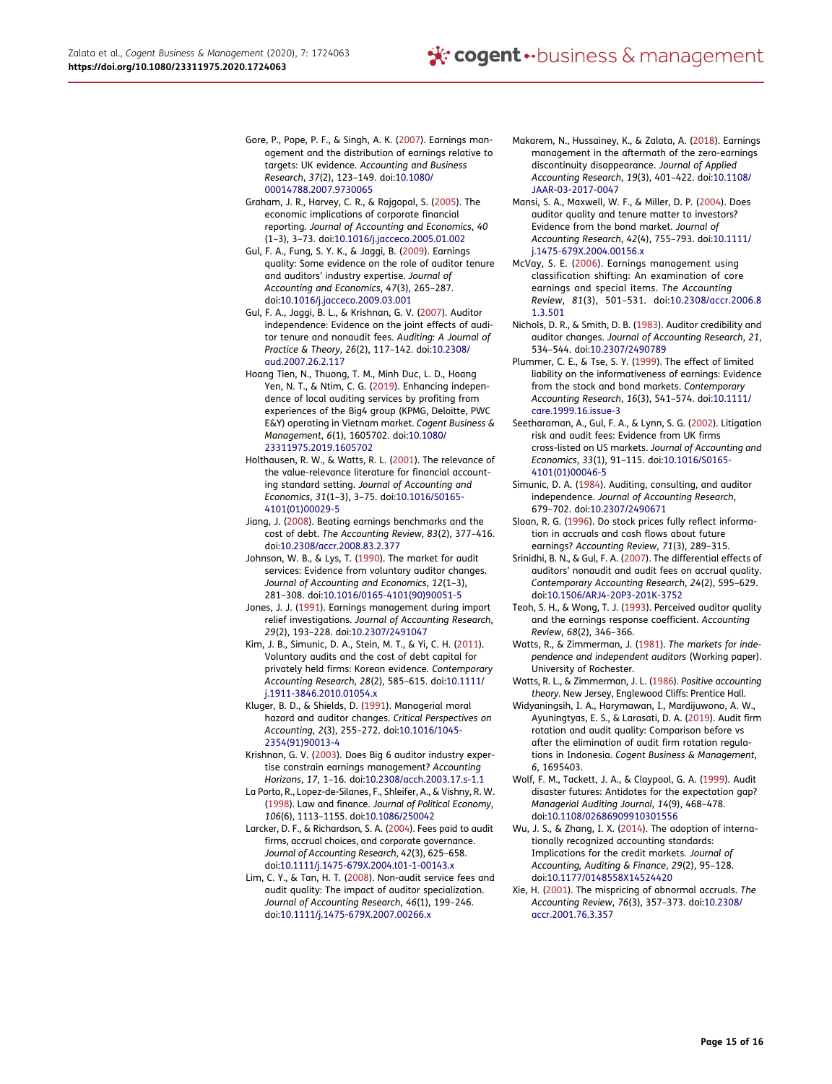- <span id="page-14-26"></span>Gore, P., Pope, P. F., & Singh, A. K. [\(2007](#page-9-3)). Earnings management and the distribution of earnings relative to targets: UK evidence. Accounting and Business Research, 37(2), 123–149. doi:[10.1080/](https://doi.org/10.1080/00014788.2007.9730065) [00014788.2007.9730065](https://doi.org/10.1080/00014788.2007.9730065)
- <span id="page-14-24"></span>Graham, J. R., Harvey, C. R., & Rajgopal, S. [\(2005](#page-8-1)). The economic implications of corporate financial reporting. Journal of Accounting and Economics, 40 (1–3), 3–73. doi:[10.1016/j.jacceco.2005.01.002](https://doi.org/10.1016/j.jacceco.2005.01.002)
- <span id="page-14-15"></span>Gul, F. A., Fung, S. Y. K., & Jaggi, B. ([2009\)](#page-4-0). Earnings quality: Some evidence on the role of auditor tenure and auditors' industry expertise. Journal of Accounting and Economics, 47(3), 265–287. doi:[10.1016/j.jacceco.2009.03.001](https://doi.org/10.1016/j.jacceco.2009.03.001)
- <span id="page-14-28"></span>Gul, F. A., Jaggi, B. L., & Krishnan, G. V. ([2007\)](#page-10-3). Auditor independence: Evidence on the joint effects of auditor tenure and nonaudit fees. Auditing: A Journal of Practice & Theory, 26(2), 117–142. doi:[10.2308/](https://doi.org/10.2308/aud.2007.26.2.117) [aud.2007.26.2.117](https://doi.org/10.2308/aud.2007.26.2.117)
- <span id="page-14-17"></span>Hoang Tien, N., Thuong, T. M., Minh Duc, L. D., Hoang Yen, N. T., & Ntim, C. G. ([2019\)](#page-4-5). Enhancing independence of local auditing services by profiting from experiences of the Big4 group (KPMG, Deloitte, PWC E&Y) operating in Vietnam market. Cogent Business & Management, 6(1), 1605702. doi:[10.1080/](https://doi.org/10.1080/23311975.2019.1605702) [23311975.2019.1605702](https://doi.org/10.1080/23311975.2019.1605702)
- <span id="page-14-2"></span>Holthausen, R. W., & Watts, R. L. ([2001\)](#page-1-6). The relevance of the value-relevance literature for financial accounting standard setting. Journal of Accounting and Economics, 31(1–3), 3–75. doi:[10.1016/S0165-](https://doi.org/10.1016/S0165-4101(01)00029-5) [4101\(01\)00029-5](https://doi.org/10.1016/S0165-4101(01)00029-5)
- <span id="page-14-3"></span>Jiang, J. [\(2008](#page-1-7)). Beating earnings benchmarks and the cost of debt. The Accounting Review, 83(2), 377–416. doi:[10.2308/accr.2008.83.2.377](https://doi.org/10.2308/accr.2008.83.2.377)
- <span id="page-14-12"></span>Johnson, W. B., & Lys, T. [\(1990](#page-4-2)). The market for audit services: Evidence from voluntary auditor changes. Journal of Accounting and Economics, 12(1–3), 281–308. doi:[10.1016/0165-4101\(90\)90051-5](https://doi.org/10.1016/0165-4101(90)90051-5)
- <span id="page-14-23"></span>Jones, J. J. ([1991\)](#page-5-2). Earnings management during import relief investigations. Journal of Accounting Research, 29(2), 193–228. doi:[10.2307/2491047](https://doi.org/10.2307/2491047)
- <span id="page-14-22"></span>Kim, J. B., Simunic, D. A., Stein, M. T., & Yi, C. H. ([2011\)](#page-5-3). Voluntary audits and the cost of debt capital for privately held firms: Korean evidence. Contemporary Accounting Research, 28(2), 585–615. doi:[10.1111/](https://doi.org/10.1111/j.1911-3846.2010.01054.x) [j.1911-3846.2010.01054.x](https://doi.org/10.1111/j.1911-3846.2010.01054.x)
- <span id="page-14-13"></span>Kluger, B. D., & Shields, D. ([1991\)](#page-4-2). Managerial moral hazard and auditor changes. Critical Perspectives on Accounting, 2(3), 255–272. doi:[10.1016/1045-](https://doi.org/10.1016/1045-2354(91)90013-4) [2354\(91\)90013-4](https://doi.org/10.1016/1045-2354(91)90013-4)
- <span id="page-14-16"></span>Krishnan, G. V. ([2003\)](#page-4-0). Does Big 6 auditor industry expertise constrain earnings management? Accounting Horizons, 17, 1–16. doi:[10.2308/acch.2003.17.s-1.1](https://doi.org/10.2308/acch.2003.17.s-1.1)
- <span id="page-14-1"></span>La Porta, R., Lopez-de-Silanes, F., Shleifer, A., & Vishny, R. W. [\(1998\)](#page-1-8). Law and finance. Journal of Political Economy, 106(6), 1113–1155. doi:[10.1086/250042](https://doi.org/10.1086/250042)
- <span id="page-14-19"></span>Larcker, D. F., & Richardson, S. A. [\(2004](#page-4-4)). Fees paid to audit firms, accrual choices, and corporate governance. Journal of Accounting Research, 42(3), 625–658. doi:[10.1111/j.1475-679X.2004.t01-1-00143.x](https://doi.org/10.1111/j.1475-679X.2004.t01-1-00143.x)
- <span id="page-14-20"></span>Lim, C. Y., & Tan, H. T. [\(2008](#page-5-4)). Non-audit service fees and audit quality: The impact of auditor specialization. Journal of Accounting Research, 46(1), 199–246. doi:[10.1111/j.1475-679X.2007.00266.x](https://doi.org/10.1111/j.1475-679X.2007.00266.x)
- <span id="page-14-27"></span>Makarem, N., Hussainey, K., & Zalata, A. ([2018\)](#page-9-3). Earnings management in the aftermath of the zero-earnings discontinuity disappearance. Journal of Applied Accounting Research, 19(3), 401–422. doi:[10.1108/](https://doi.org/10.1108/JAAR-03-2017-0047) [JAAR-03-2017-0047](https://doi.org/10.1108/JAAR-03-2017-0047)
- <span id="page-14-5"></span>Mansi, S. A., Maxwell, W. F., & Miller, D. P. [\(2004](#page-1-9)). Does auditor quality and tenure matter to investors? Evidence from the bond market. Journal of Accounting Research, 42(4), 755–793. doi:[10.1111/](https://doi.org/10.1111/j.1475-679X.2004.00156.x) [j.1475-679X.2004.00156.x](https://doi.org/10.1111/j.1475-679X.2004.00156.x)
- <span id="page-14-8"></span>McVay, S. E. [\(2006\)](#page-3-3). Earnings management using classification shifting: An examination of core earnings and special items. The Accounting Review, 81(3), 501–531. doi:[10.2308/accr.2006.8](https://doi.org/10.2308/accr.2006.81.3.501) [1.3.501](https://doi.org/10.2308/accr.2006.81.3.501)
- <span id="page-14-14"></span>Nichols, D. R., & Smith, D. B. [\(1983](#page-4-6)). Auditor credibility and auditor changes. Journal of Accounting Research, 21, 534–544. doi:[10.2307/2490789](https://doi.org/10.2307/2490789)
- <span id="page-14-25"></span>Plummer, C. E., & Tse, S. Y. [\(1999](#page-9-2)). The effect of limited liability on the informativeness of earnings: Evidence from the stock and bond markets. Contemporary Accounting Research, 16(3), 541–574. doi:[10.1111/](https://doi.org/10.1111/care.1999.16.issue-3) [care.1999.16.issue-3](https://doi.org/10.1111/care.1999.16.issue-3)
- <span id="page-14-6"></span>Seetharaman, A., Gul, F. A., & Lynn, S. G. [\(2002](#page-2-0)). Litigation risk and audit fees: Evidence from UK firms cross-listed on US markets. Journal of Accounting and Economics, 33(1), 91–115. doi:[10.1016/S0165-](https://doi.org/10.1016/S0165-4101(01)00046-5) [4101\(01\)00046-5](https://doi.org/10.1016/S0165-4101(01)00046-5)
- <span id="page-14-18"></span>Simunic, D. A. ([1984\)](#page-4-1). Auditing, consulting, and auditor independence. Journal of Accounting Research, 679–702. doi:[10.2307/2490671](https://doi.org/10.2307/2490671)
- <span id="page-14-9"></span>Sloan, R. G. ([1996\)](#page-3-3). Do stock prices fully reflect information in accruals and cash flows about future earnings? Accounting Review, 71(3), 289–315.
- <span id="page-14-21"></span>Srinidhi, B. N., & Gul, F. A. [\(2007](#page-5-5)). The differential effects of auditors' nonaudit and audit fees on accrual quality. Contemporary Accounting Research, 24(2), 595–629. doi:[10.1506/ARJ4-20P3-201K-3752](https://doi.org/10.1506/ARJ4-20P3-201K-3752)
- <span id="page-14-11"></span>Teoh, S. H., & Wong, T. J. [\(1993](#page-3-7)). Perceived auditor quality and the earnings response coefficient. Accounting Review, 68(2), 346–366.
- <span id="page-14-4"></span>Watts, R., & Zimmerman, J. ([1981\)](#page-1-1). The markets for independence and independent auditors (Working paper). University of Rochester.
- <span id="page-14-7"></span>Watts, R. L., & Zimmerman, J. L. ([1986\)](#page-3-8). Positive accounting theory. New Jersey, Englewood Cliffs: Prentice Hall.
- <span id="page-14-29"></span>Widyaningsih, I. A., Harymawan, I., Mardijuwono, A. W., Ayuningtyas, E. S., & Larasati, D. A. [\(2019](#page-10-4)). Audit firm rotation and audit quality: Comparison before vs after the elimination of audit firm rotation regulations in Indonesia. Cogent Business & Management, 6, 1695403.
- <span id="page-14-30"></span>Wolf, F. M., Tackett, J. A., & Claypool, G. A. ([1999\)](#page-10-4). Audit disaster futures: Antidotes for the expectation gap? Managerial Auditing Journal, 14(9), 468–478. doi:[10.1108/02686909910301556](https://doi.org/10.1108/02686909910301556)
- <span id="page-14-0"></span>Wu, J. S., & Zhang, I. X. ([2014\)](#page-0-1). The adoption of internationally recognized accounting standards: Implications for the credit markets. Journal of Accounting, Auditing & Finance, 29(2), 95–128. doi:[10.1177/0148558X14524420](https://doi.org/10.1177/0148558X14524420)
- <span id="page-14-10"></span>Xie, H. ([2001\)](#page-3-3). The mispricing of abnormal accruals. The Accounting Review, 76(3), 357–373. doi:[10.2308/](https://doi.org/10.2308/accr.2001.76.3.357) [accr.2001.76.3.357](https://doi.org/10.2308/accr.2001.76.3.357)